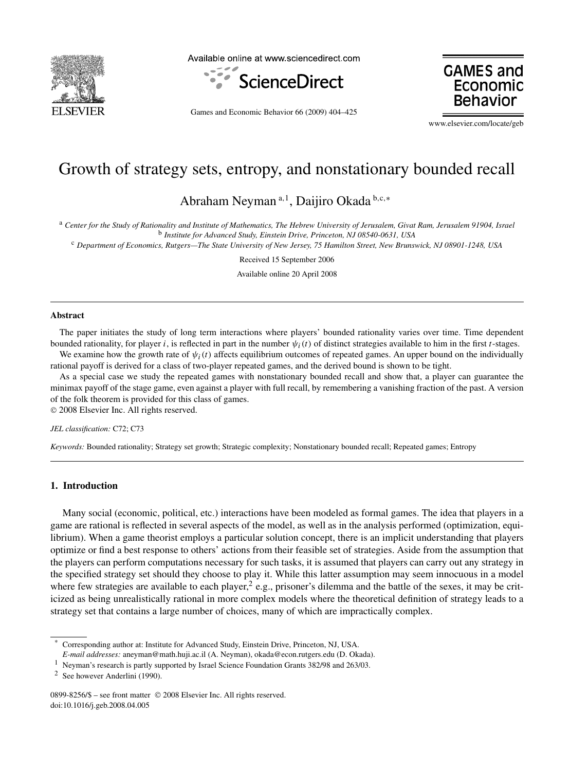

Available online at www.sciencedirect.com



**GAMES and** Economic **Behavio** 

Games and Economic Behavior 66 (2009) 404–425

www.elsevier.com/locate/geb

# Growth of strategy sets, entropy, and nonstationary bounded recall

Abraham Neyman <sup>a</sup>*,*<sup>1</sup> , Daijiro Okada <sup>b</sup>*,*c*,*<sup>∗</sup>

<sup>a</sup> *Center for the Study of Rationality and Institute of Mathematics, The Hebrew University of Jerusalem, Givat Ram, Jerusalem 91904, Israel* <sup>b</sup> *Institute for Advanced Study, Einstein Drive, Princeton, NJ 08540-0631, USA*

<sup>c</sup> *Department of Economics, Rutgers—The State University of New Jersey, 75 Hamilton Street, New Brunswick, NJ 08901-1248, USA*

Received 15 September 2006

Available online 20 April 2008

## **Abstract**

The paper initiates the study of long term interactions where players' bounded rationality varies over time. Time dependent bounded rationality, for player *i*, is reflected in part in the number  $\psi_i(t)$  of distinct strategies available to him in the first *t*-stages.

We examine how the growth rate of  $\psi_i(t)$  affects equilibrium outcomes of repeated games. An upper bound on the individually rational payoff is derived for a class of two-player repeated games, and the derived bound is shown to be tight.

As a special case we study the repeated games with nonstationary bounded recall and show that, a player can guarantee the minimax payoff of the stage game, even against a player with full recall, by remembering a vanishing fraction of the past. A version of the folk theorem is provided for this class of games.

© 2008 Elsevier Inc. All rights reserved.

#### *JEL classification:* C72; C73

*Keywords:* Bounded rationality; Strategy set growth; Strategic complexity; Nonstationary bounded recall; Repeated games; Entropy

# **1. Introduction**

Many social (economic, political, etc.) interactions have been modeled as formal games. The idea that players in a game are rational is reflected in several aspects of the model, as well as in the analysis performed (optimization, equilibrium). When a game theorist employs a particular solution concept, there is an implicit understanding that players optimize or find a best response to others' actions from their feasible set of strategies. Aside from the assumption that the players can perform computations necessary for such tasks, it is assumed that players can carry out any strategy in the specified strategy set should they choose to play it. While this latter assumption may seem innocuous in a model where few strategies are available to each player,<sup>2</sup> e.g., prisoner's dilemma and the battle of the sexes, it may be criticized as being unrealistically rational in more complex models where the theoretical definition of strategy leads to a strategy set that contains a large number of choices, many of which are impractically complex.

<sup>\*</sup> Corresponding author at: Institute for Advanced Study, Einstein Drive, Princeton, NJ, USA.

*E-mail addresses:* aneyman@math.huji.ac.il (A. Neyman), okada@econ.rutgers.edu (D. Okada).

<sup>1</sup> Neyman's research is partly supported by Israel Science Foundation Grants 382/98 and 263/03.

<sup>2</sup> See however Anderlini (1990).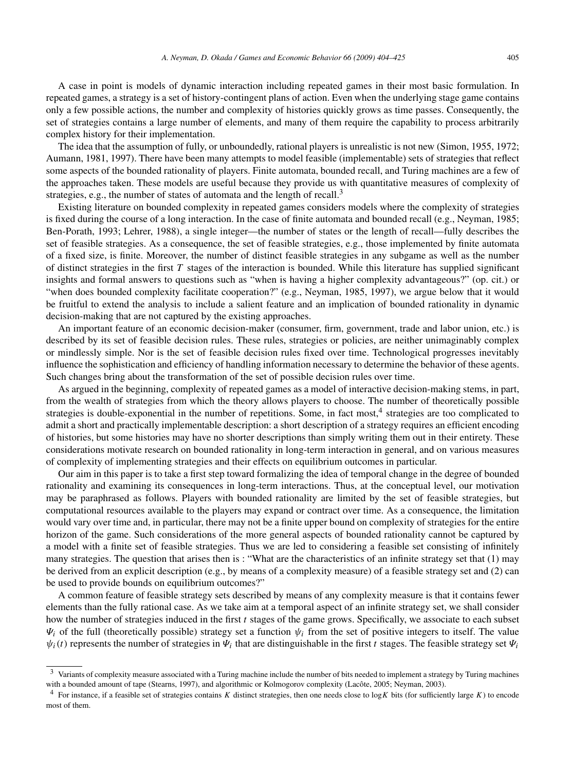A case in point is models of dynamic interaction including repeated games in their most basic formulation. In repeated games, a strategy is a set of history-contingent plans of action. Even when the underlying stage game contains only a few possible actions, the number and complexity of histories quickly grows as time passes. Consequently, the set of strategies contains a large number of elements, and many of them require the capability to process arbitrarily complex history for their implementation.

The idea that the assumption of fully, or unboundedly, rational players is unrealistic is not new (Simon, 1955, 1972; Aumann, 1981, 1997). There have been many attempts to model feasible (implementable) sets of strategies that reflect some aspects of the bounded rationality of players. Finite automata, bounded recall, and Turing machines are a few of the approaches taken. These models are useful because they provide us with quantitative measures of complexity of strategies, e.g., the number of states of automata and the length of recall.<sup>3</sup>

Existing literature on bounded complexity in repeated games considers models where the complexity of strategies is fixed during the course of a long interaction. In the case of finite automata and bounded recall (e.g., Neyman, 1985; Ben-Porath, 1993; Lehrer, 1988), a single integer—the number of states or the length of recall—fully describes the set of feasible strategies. As a consequence, the set of feasible strategies, e.g., those implemented by finite automata of a fixed size, is finite. Moreover, the number of distinct feasible strategies in any subgame as well as the number of distinct strategies in the first *T* stages of the interaction is bounded. While this literature has supplied significant insights and formal answers to questions such as "when is having a higher complexity advantageous?" (op. cit.) or "when does bounded complexity facilitate cooperation?" (e.g., Neyman, 1985, 1997), we argue below that it would be fruitful to extend the analysis to include a salient feature and an implication of bounded rationality in dynamic decision-making that are not captured by the existing approaches.

An important feature of an economic decision-maker (consumer, firm, government, trade and labor union, etc.) is described by its set of feasible decision rules. These rules, strategies or policies, are neither unimaginably complex or mindlessly simple. Nor is the set of feasible decision rules fixed over time. Technological progresses inevitably influence the sophistication and efficiency of handling information necessary to determine the behavior of these agents. Such changes bring about the transformation of the set of possible decision rules over time.

As argued in the beginning, complexity of repeated games as a model of interactive decision-making stems, in part, from the wealth of strategies from which the theory allows players to choose. The number of theoretically possible strategies is double-exponential in the number of repetitions. Some, in fact most,<sup>4</sup> strategies are too complicated to admit a short and practically implementable description: a short description of a strategy requires an efficient encoding of histories, but some histories may have no shorter descriptions than simply writing them out in their entirety. These considerations motivate research on bounded rationality in long-term interaction in general, and on various measures of complexity of implementing strategies and their effects on equilibrium outcomes in particular.

Our aim in this paper is to take a first step toward formalizing the idea of temporal change in the degree of bounded rationality and examining its consequences in long-term interactions. Thus, at the conceptual level, our motivation may be paraphrased as follows. Players with bounded rationality are limited by the set of feasible strategies, but computational resources available to the players may expand or contract over time. As a consequence, the limitation would vary over time and, in particular, there may not be a finite upper bound on complexity of strategies for the entire horizon of the game. Such considerations of the more general aspects of bounded rationality cannot be captured by a model with a finite set of feasible strategies. Thus we are led to considering a feasible set consisting of infinitely many strategies. The question that arises then is : "What are the characteristics of an infinite strategy set that (1) may be derived from an explicit description (e.g., by means of a complexity measure) of a feasible strategy set and (2) can be used to provide bounds on equilibrium outcomes?"

A common feature of feasible strategy sets described by means of any complexity measure is that it contains fewer elements than the fully rational case. As we take aim at a temporal aspect of an infinite strategy set, we shall consider how the number of strategies induced in the first *t* stages of the game grows. Specifically, we associate to each subset  $\Psi_i$  of the full (theoretically possible) strategy set a function  $\Psi_i$  from the set of positive integers to itself. The value  $\psi_i(t)$  represents the number of strategies in  $\Psi_i$  that are distinguishable in the first *t* stages. The feasible strategy set  $\Psi_i$ 

 $3$  Variants of complexity measure associated with a Turing machine include the number of bits needed to implement a strategy by Turing machines with a bounded amount of tape (Stearns, 1997), and algorithmic or Kolmogorov complexity (Lacôte, 2005; Neyman, 2003).

<sup>4</sup> For instance, if a feasible set of strategies contains *K* distinct strategies, then one needs close to log*K* bits (for sufficiently large *K*) to encode most of them.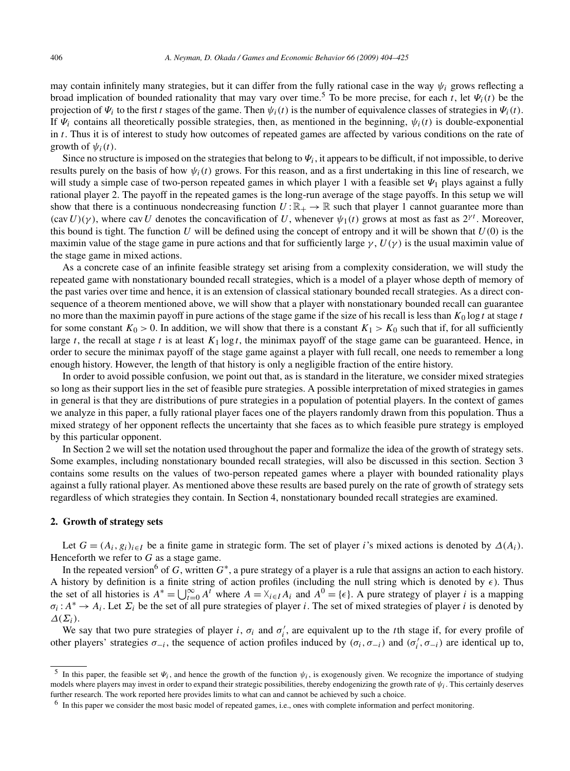may contain infinitely many strategies, but it can differ from the fully rational case in the way  $\psi_i$  grows reflecting a broad implication of bounded rationality that may vary over time.<sup>5</sup> To be more precise, for each *t*, let  $\Psi_i(t)$  be the projection of  $\Psi_i$  to the first *t* stages of the game. Then  $\psi_i(t)$  is the number of equivalence classes of strategies in  $\Psi_i(t)$ . If  $\Psi_i$  contains all theoretically possible strategies, then, as mentioned in the beginning,  $\psi_i(t)$  is double-exponential in *t*. Thus it is of interest to study how outcomes of repeated games are affected by various conditions on the rate of growth of  $\psi_i(t)$ .

Since no structure is imposed on the strategies that belong to  $\Psi_i$ , it appears to be difficult, if not impossible, to derive results purely on the basis of how  $\psi_i(t)$  grows. For this reason, and as a first undertaking in this line of research, we will study a simple case of two-person repeated games in which player 1 with a feasible set *Ψ*<sup>1</sup> plays against a fully rational player 2. The payoff in the repeated games is the long-run average of the stage payoffs. In this setup we will show that there is a continuous nondecreasing function  $U:\mathbb{R}_+ \to \mathbb{R}$  such that player 1 cannot guarantee more than  $(cav U)(\gamma)$ , where cav *U* denotes the concavification of *U*, whenever  $\psi_1(t)$  grows at most as fast as  $2^{\gamma t}$ . Moreover, this bound is tight. The function *U* will be defined using the concept of entropy and it will be shown that  $U(0)$  is the maximin value of the stage game in pure actions and that for sufficiently large  $\gamma$ ,  $U(\gamma)$  is the usual maximin value of the stage game in mixed actions.

As a concrete case of an infinite feasible strategy set arising from a complexity consideration, we will study the repeated game with nonstationary bounded recall strategies, which is a model of a player whose depth of memory of the past varies over time and hence, it is an extension of classical stationary bounded recall strategies. As a direct consequence of a theorem mentioned above, we will show that a player with nonstationary bounded recall can guarantee no more than the maximin payoff in pure actions of the stage game if the size of his recall is less than  $K_0 \log t$  at stage  $t$ for some constant  $K_0 > 0$ . In addition, we will show that there is a constant  $K_1 > K_0$  such that if, for all sufficiently large  $t$ , the recall at stage  $t$  is at least  $K_1 \log t$ , the minimax payoff of the stage game can be guaranteed. Hence, in order to secure the minimax payoff of the stage game against a player with full recall, one needs to remember a long enough history. However, the length of that history is only a negligible fraction of the entire history.

In order to avoid possible confusion, we point out that, as is standard in the literature, we consider mixed strategies so long as their support lies in the set of feasible pure strategies. A possible interpretation of mixed strategies in games in general is that they are distributions of pure strategies in a population of potential players. In the context of games we analyze in this paper, a fully rational player faces one of the players randomly drawn from this population. Thus a mixed strategy of her opponent reflects the uncertainty that she faces as to which feasible pure strategy is employed by this particular opponent.

In Section 2 we will set the notation used throughout the paper and formalize the idea of the growth of strategy sets. Some examples, including nonstationary bounded recall strategies, will also be discussed in this section. Section 3 contains some results on the values of two-person repeated games where a player with bounded rationality plays against a fully rational player. As mentioned above these results are based purely on the rate of growth of strategy sets regardless of which strategies they contain. In Section 4, nonstationary bounded recall strategies are examined.

## **2. Growth of strategy sets**

Let  $G = (A_i, g_i)_{i \in I}$  be a finite game in strategic form. The set of player *i*'s mixed actions is denoted by  $\Delta(A_i)$ . Henceforth we refer to *G* as a stage game.

In the repeated version<sup>6</sup> of *G*, written  $G^*$ , a pure strategy of a player is a rule that assigns an action to each history. A history by definition is a finite string of action profiles (including the null string which is denoted by  $\epsilon$ ). Thus the set of all histories is  $A^* = \bigcup_{t=0}^{\infty} A^t$  where  $A = \lambda_{i \in I} A_i$  and  $A^0 = {\epsilon}$ . A pure strategy of player *i* is a mapping  $\sigma_i: A^* \to A_i$ . Let  $\Sigma_i$  be the set of all pure strategies of player *i*. The set of mixed strategies of player *i* is denoted by *Δ(Σi)*.

We say that two pure strategies of player *i*,  $\sigma_i$  and  $\sigma'_i$ , are equivalent up to the *t*th stage if, for every profile of other players' strategies  $\sigma_{-i}$ , the sequence of action profiles induced by  $(\sigma_i, \sigma_{-i})$  and  $(\sigma_i', \sigma_{-i})$  are identical up to,

<sup>&</sup>lt;sup>5</sup> In this paper, the feasible set  $\Psi_i$ , and hence the growth of the function  $\Psi_i$ , is exogenously given. We recognize the importance of studying models where players may invest in order to expand their strategic possibilities, thereby endogenizing the growth rate of *ψi*. This certainly deserves further research. The work reported here provides limits to what can and cannot be achieved by such a choice.

 $<sup>6</sup>$  In this paper we consider the most basic model of repeated games, i.e., ones with complete information and perfect monitoring.</sup>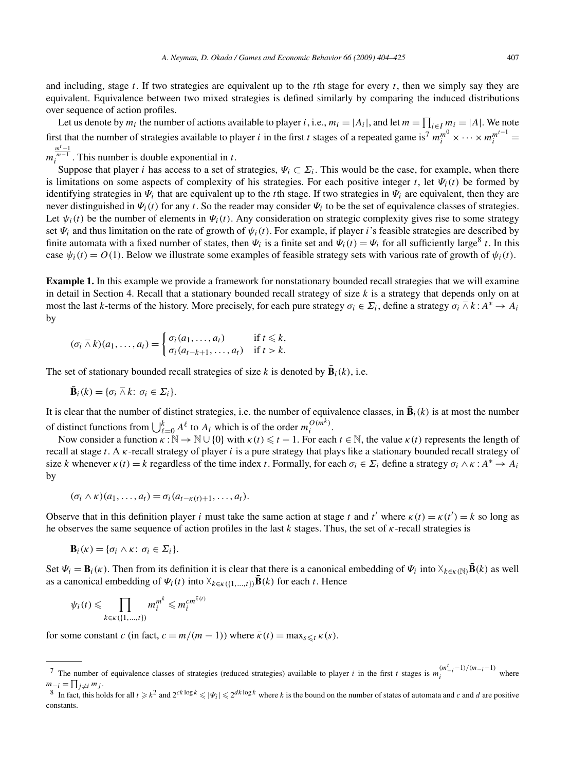and including, stage *t*. If two strategies are equivalent up to the *t*th stage for every *t*, then we simply say they are equivalent. Equivalence between two mixed strategies is defined similarly by comparing the induced distributions over sequence of action profiles.

Let us denote by  $m_i$  the number of actions available to player *i*, i.e.,  $m_i = |A_i|$ , and let  $m = \prod_{i \in I} m_i = |A|$ . We note first that the number of strategies available to player *i* in the first *t* stages of a repeated game is<sup>7</sup>  $m_i^{m^0} \times \cdots \times m_i^{m^{t-1}} =$ 

 $m_i^{\frac{mt-1}{m-1}}$ . This number is double exponential in *t*.

Suppose that player *i* has access to a set of strategies,  $\Psi_i \subset \Sigma_i$ . This would be the case, for example, when there is limitations on some aspects of complexity of his strategies. For each positive integer *t*, let  $\Psi_i(t)$  be formed by identifying strategies in  $\Psi_i$  that are equivalent up to the *t*th stage. If two strategies in  $\Psi_i$  are equivalent, then they are never distinguished in *Ψi(t)* for any *t*. So the reader may consider *Ψi* to be the set of equivalence classes of strategies. Let  $\psi_i(t)$  be the number of elements in  $\Psi_i(t)$ . Any consideration on strategic complexity gives rise to some strategy set  $\Psi_i$  and thus limitation on the rate of growth of  $\psi_i(t)$ . For example, if player *i*'s feasible strategies are described by finite automata with a fixed number of states, then  $\Psi_i$  is a finite set and  $\Psi_i(t) = \Psi_i$  for all sufficiently large<sup>8</sup> *t*. In this case  $\psi_i(t) = O(1)$ . Below we illustrate some examples of feasible strategy sets with various rate of growth of  $\psi_i(t)$ .

**Example 1.** In this example we provide a framework for nonstationary bounded recall strategies that we will examine in detail in Section 4. Recall that a stationary bounded recall strategy of size *k* is a strategy that depends only on at most the last *k*-terms of the history. More precisely, for each pure strategy  $\sigma_i \in \Sigma_i$ , define a strategy  $\sigma_i \cap k : A^* \to A_i$ by

$$
(\sigma_i \barwedge k)(a_1, \ldots, a_t) = \begin{cases} \sigma_i(a_1, \ldots, a_t) & \text{if } t \leq k, \\ \sigma_i(a_{t-k+1}, \ldots, a_t) & \text{if } t > k. \end{cases}
$$

The set of stationary bounded recall strategies of size *k* is denoted by  $\bar{\mathbf{B}}_i(k)$ , i.e.

$$
\bar{\mathbf{B}}_i(k) = \{\sigma_i \bar{\wedge} k \colon \sigma_i \in \Sigma_i\}.
$$

It is clear that the number of distinct strategies, i.e. the number of equivalence classes, in  $\mathbf{B}_i(k)$  is at most the number of distinct functions from  $\bigcup_{\ell=0}^{k} A^{\ell}$  to  $A_i$  which is of the order  $m_i^{O(m^k)}$ .

Now consider a function  $\kappa : \mathbb{N} \to \mathbb{N} \cup \{0\}$  with  $\kappa(t) \leq t - 1$ . For each  $t \in \mathbb{N}$ , the value  $\kappa(t)$  represents the length of recall at stage *t*. A *κ*-recall strategy of player *i* is a pure strategy that plays like a stationary bounded recall strategy of size *k* whenever  $\kappa(t) = k$  regardless of the time index *t*. Formally, for each  $\sigma_i \in \Sigma_i$  define a strategy  $\sigma_i \wedge \kappa : A^* \to A_i$ by

$$
(\sigma_i \wedge \kappa)(a_1,\ldots,a_t) = \sigma_i(a_{t-\kappa(t)+1},\ldots,a_t).
$$

Observe that in this definition player *i* must take the same action at stage *t* and *t'* where  $\kappa(t) = \kappa(t') = k$  so long as he observes the same sequence of action profiles in the last *k* stages. Thus, the set of *κ*-recall strategies is

$$
\mathbf{B}_i(\kappa) = \{\sigma_i \wedge \kappa \colon \sigma_i \in \Sigma_i\}.
$$

Set  $\Psi_i = \mathbf{B}_i(\kappa)$ . Then from its definition it is clear that there is a canonical embedding of  $\Psi_i$  into  $\chi_{k \in \kappa(\mathbb{N})} \overline{\mathbf{B}}(k)$  as well as a canonical embedding of  $\Psi_i(t)$  into  $\chi_{k \in \kappa(\{1,\ldots,t\})} \bar{\mathbf{B}}(k)$  for each *t*. Hence

$$
\psi_i(t) \leqslant \prod_{k \in \kappa(\{1,\dots,t\})} m_i^{m^k} \leqslant m_i^{cm^{\tilde{\kappa}(t)}}
$$

for some constant *c* (in fact,  $c = m/(m - 1)$ ) where  $\bar{\kappa}(t) = \max_{s \leq t} \kappa(s)$ .

The number of equivalence classes of strategies (reduced strategies) available to player *i* in the first *t* stages is  $m_i^{(m_t^t - 1)/(m_{-i} - 1)}$  where  $m_{-i} = \prod_{j \neq i} m_j$ .

<sup>&</sup>lt;sup>8</sup> In fact, this holds for all  $t \ge k^2$  and  $2^{ck \log k} \le |\Psi_i| \le 2^{dk \log k}$  where *k* is the bound on the number of states of automata and *c* and *d* are positive constants.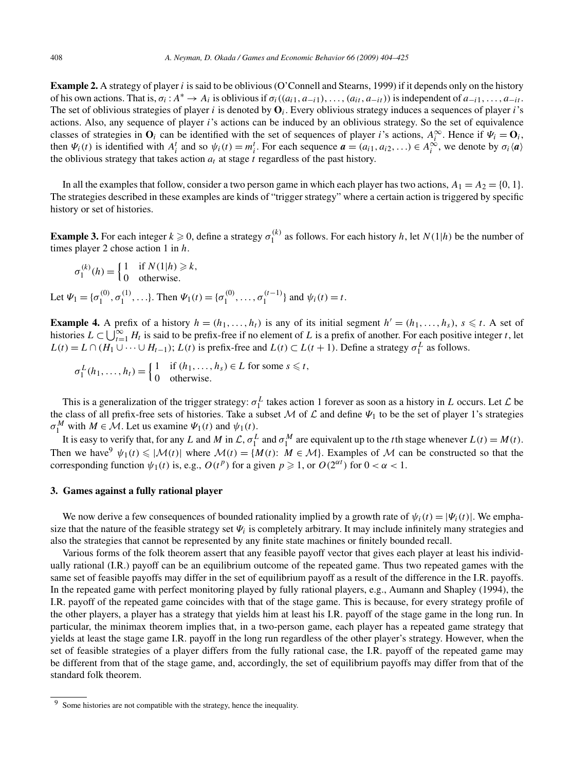**Example 2.** A strategy of player *i* is said to be oblivious (O'Connell and Stearns, 1999) if it depends only on the history of his own actions. That is, *σi* :*A*<sup>∗</sup> → *Ai* is oblivious if *σi((ai*1*,a*−*i*1*),...,(ait,a*−*it))* is independent of *a*−*i*1*,...,a*−*it* . The set of oblivious strategies of player *i* is denoted by **O***i*. Every oblivious strategy induces a sequences of player *i*'s actions. Also, any sequence of player *i*'s actions can be induced by an oblivious strategy. So the set of equivalence classes of strategies in  $\mathbf{O}_i$  can be identified with the set of sequences of player *i*'s actions,  $A_i^{\infty}$ . Hence if  $\Psi_i = \mathbf{O}_i$ , then  $\Psi_i(t)$  is identified with  $A_i^t$  and so  $\psi_i(t) = m_i^t$ . For each sequence  $\mathbf{a} = (a_{i1}, a_{i2}, \dots) \in A_i^{\infty}$ , we denote by  $\sigma_i(\mathbf{a})$ the oblivious strategy that takes action  $a_t$  at stage  $t$  regardless of the past history.

In all the examples that follow, consider a two person game in which each player has two actions,  $A_1 = A_2 = \{0, 1\}$ . The strategies described in these examples are kinds of "trigger strategy" where a certain action is triggered by specific history or set of histories.

**Example 3.** For each integer  $k \ge 0$ , define a strategy  $\sigma_1^{(k)}$  as follows. For each history *h*, let  $N(1|h)$  be the number of times player 2 chose action 1 in *h*.

 $\sigma_1^{(k)}(h) = \begin{cases} 1 & \text{if } N(1|h) \geq k, \\ 0 & \text{otherwise} \end{cases}$ 0 otherwise*.*

Let  $\Psi_1 = {\sigma_1^{(0)}, \sigma_1^{(1)}, \ldots}$ . Then  $\Psi_1(t) = {\sigma_1^{(0)}, \ldots, \sigma_1^{(t-1)}}$  and  $\psi_i(t) = t$ .

**Example 4.** A prefix of a history  $h = (h_1, \ldots, h_t)$  is any of its initial segment  $h' = (h_1, \ldots, h_s)$ ,  $s \le t$ . A set of histories  $L \subset \bigcup_{t=1}^{\infty} H_t$  is said to be prefix-free if no element of *L* is a prefix of another. For each positive integer *t*, let  $L(t) = L \cap (H_1 \cup \cdots \cup H_{t-1})$ ;  $L(t)$  is prefix-free and  $L(t) \subset L(t+1)$ . Define a strategy  $\sigma_1^L$  as follows.

 $\sigma_1^L(h_1, \ldots, h_t) = \begin{cases} 1 & \text{if } (h_1, \ldots, h_s) \in L \text{ for some } s \leq t, \\ 0 & \text{otherwise} \end{cases}$ 0 otherwise*.*

This is a generalization of the trigger strategy:  $\sigma_1^L$  takes action 1 forever as soon as a history in *L* occurs. Let *L* be the class of all prefix-free sets of histories. Take a subset M of  $\mathcal L$  and define  $\Psi_1$  to be the set of player 1's strategies  $\sigma_1^M$  with  $M \in \mathcal{M}$ . Let us examine  $\Psi_1(t)$  and  $\Psi_1(t)$ .

It is easy to verify that, for any *L* and *M* in  $\mathcal{L}$ ,  $\sigma_1^L$  and  $\sigma_1^M$  are equivalent up to the *t*th stage whenever  $L(t) = M(t)$ . Then we have  $\psi_1(t) \leq |\mathcal{M}(t)|$  where  $\mathcal{M}(t) = \{M(t): M \in \mathcal{M}\}\)$ . Examples of M can be constructed so that the corresponding function  $\psi_1(t)$  is, e.g.,  $O(t^p)$  for a given  $p \ge 1$ , or  $O(2^{\alpha t})$  for  $0 < \alpha < 1$ .

## **3. Games against a fully rational player**

We now derive a few consequences of bounded rationality implied by a growth rate of  $\psi_i(t) = |\Psi_i(t)|$ . We emphasize that the nature of the feasible strategy set *Ψi* is completely arbitrary. It may include infinitely many strategies and also the strategies that cannot be represented by any finite state machines or finitely bounded recall.

Various forms of the folk theorem assert that any feasible payoff vector that gives each player at least his individually rational (I.R.) payoff can be an equilibrium outcome of the repeated game. Thus two repeated games with the same set of feasible payoffs may differ in the set of equilibrium payoff as a result of the difference in the I.R. payoffs. In the repeated game with perfect monitoring played by fully rational players, e.g., Aumann and Shapley (1994), the I.R. payoff of the repeated game coincides with that of the stage game. This is because, for every strategy profile of the other players, a player has a strategy that yields him at least his I.R. payoff of the stage game in the long run. In particular, the minimax theorem implies that, in a two-person game, each player has a repeated game strategy that yields at least the stage game I.R. payoff in the long run regardless of the other player's strategy. However, when the set of feasible strategies of a player differs from the fully rational case, the I.R. payoff of the repeated game may be different from that of the stage game, and, accordingly, the set of equilibrium payoffs may differ from that of the standard folk theorem.

<sup>&</sup>lt;sup>9</sup> Some histories are not compatible with the strategy, hence the inequality.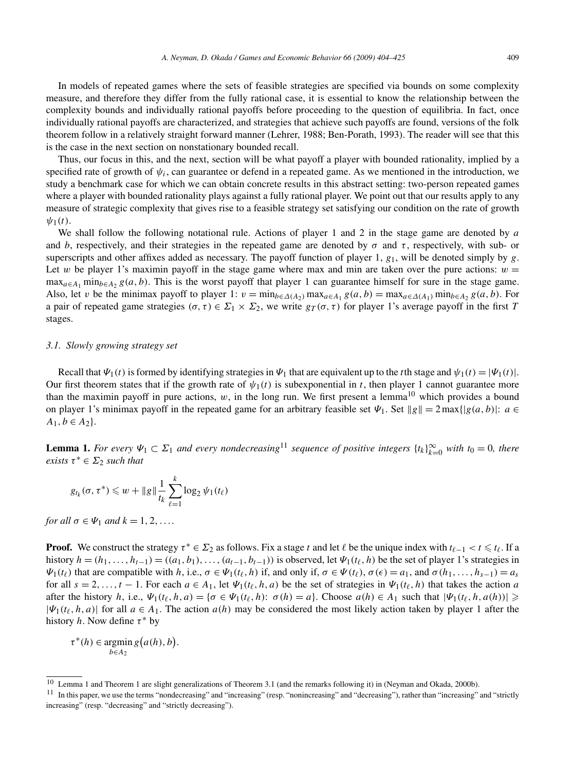In models of repeated games where the sets of feasible strategies are specified via bounds on some complexity measure, and therefore they differ from the fully rational case, it is essential to know the relationship between the complexity bounds and individually rational payoffs before proceeding to the question of equilibria. In fact, once individually rational payoffs are characterized, and strategies that achieve such payoffs are found, versions of the folk theorem follow in a relatively straight forward manner (Lehrer, 1988; Ben-Porath, 1993). The reader will see that this is the case in the next section on nonstationary bounded recall.

Thus, our focus in this, and the next, section will be what payoff a player with bounded rationality, implied by a specified rate of growth of  $\psi_i$ , can guarantee or defend in a repeated game. As we mentioned in the introduction, we study a benchmark case for which we can obtain concrete results in this abstract setting: two-person repeated games where a player with bounded rationality plays against a fully rational player. We point out that our results apply to any measure of strategic complexity that gives rise to a feasible strategy set satisfying our condition on the rate of growth  $\psi_1(t)$ .

We shall follow the following notational rule. Actions of player 1 and 2 in the stage game are denoted by *a* and *b*, respectively, and their strategies in the repeated game are denoted by  $\sigma$  and  $\tau$ , respectively, with sub- or superscripts and other affixes added as necessary. The payoff function of player 1, *g*1, will be denoted simply by *g*. Let *w* be player 1's maximin payoff in the stage game where max and min are taken over the pure actions:  $w =$  $\max_{a \in A_1} \min_{b \in A_2} g(a, b)$ . This is the worst payoff that player 1 can guarantee himself for sure in the stage game. Also, let *v* be the minimax payoff to player 1:  $v = \min_{b \in \Delta(A_2)} \max_{a \in A_1} g(a, b) = \max_{a \in \Delta(A_1)} \min_{b \in A_2} g(a, b)$ . For a pair of repeated game strategies  $(\sigma, \tau) \in \Sigma_1 \times \Sigma_2$ , we write  $g_T(\sigma, \tau)$  for player 1's average payoff in the first *T* stages.

#### *3.1. Slowly growing strategy set*

Recall that  $\Psi_1(t)$  is formed by identifying strategies in  $\Psi_1$  that are equivalent up to the *t*th stage and  $\Psi_1(t) = |\Psi_1(t)|$ . Our first theorem states that if the growth rate of  $\psi_1(t)$  is subexponential in *t*, then player 1 cannot guarantee more than the maximin payoff in pure actions,  $w$ , in the long run. We first present a lemma<sup>10</sup> which provides a bound on player 1's minimax payoff in the repeated game for an arbitrary feasible set  $\Psi_1$ . Set  $\|g\| = 2 \max\{|g(a, b)|: a \in \mathbb{R}\}$  $A_1, b \in A_2$ .

**Lemma 1.** *For every*  $\Psi_1 \subset \Sigma_1$  *and every nondecreasing*<sup>11</sup> *sequence of positive integers*  $\{t_k\}_{k=0}^{\infty}$  *with*  $t_0 = 0$ *, there exists*  $\tau^* \in \Sigma_2$  *such that* 

$$
g_{t_k}(\sigma,\tau^*) \leqslant w + \|g\| \frac{1}{t_k} \sum_{\ell=1}^k \log_2 \psi_1(t_\ell)
$$

*for all*  $\sigma \in \Psi_1$  *and*  $k = 1, 2, \ldots$ 

**Proof.** We construct the strategy  $\tau^* \in \Sigma_2$  as follows. Fix a stage *t* and let  $\ell$  be the unique index with  $t_{\ell-1} < t \leq t_{\ell}$ . If a history  $h = (h_1, \ldots, h_{t-1}) = ((a_1, b_1), \ldots, (a_{t-1}, b_{t-1}))$  is observed, let  $\Psi_1(t_\ell, h)$  be the set of player 1's strategies in *Ψ*<sub>1</sub>(*t*<sub>*l*</sub>)</sub> that are compatible with *h*, i.e., *σ* ∈ *Ψ*<sub>1</sub>(*t*<sub>*l*</sub>, *h*) if, and only if, *σ* ∈ *Ψ*(*t*<sub>*l*</sub>)</sub>, *σ*(*e*) = *a*<sub>1</sub>, and *σ*(*h*<sub>1</sub>,...,*h*<sub>*s*-1</sub>) = *a<sub>s</sub>* for all  $s = 2, \ldots, t - 1$ . For each  $a \in A_1$ , let  $\Psi_1(t_\ell, h, a)$  be the set of strategies in  $\Psi_1(t_\ell, h)$  that takes the action *a* after the history *h*, i.e.,  $\Psi_1(t_\ell, h, a) = \{\sigma \in \Psi_1(t_\ell, h): \sigma(h) = a\}$ . Choose  $a(h) \in A_1$  such that  $|\Psi_1(t_\ell, h, a(h))| \geq$  $|\Psi_1(t_\ell, h, a)|$  for all  $a \in A_1$ . The action  $a(h)$  may be considered the most likely action taken by player 1 after the history *h*. Now define *τ* <sup>∗</sup> by

 $\tau^*(h) \in \text{argmin } g(a(h), b).$  $b \in A_2$ 

<sup>10</sup> Lemma 1 and Theorem 1 are slight generalizations of Theorem 3.1 (and the remarks following it) in (Neyman and Okada, 2000b).

<sup>&</sup>lt;sup>11</sup> In this paper, we use the terms "nondecreasing" and "increasing" (resp. "nonincreasing" and "decreasing"), rather than "increasing" and "strictly increasing" (resp. "decreasing" and "strictly decreasing").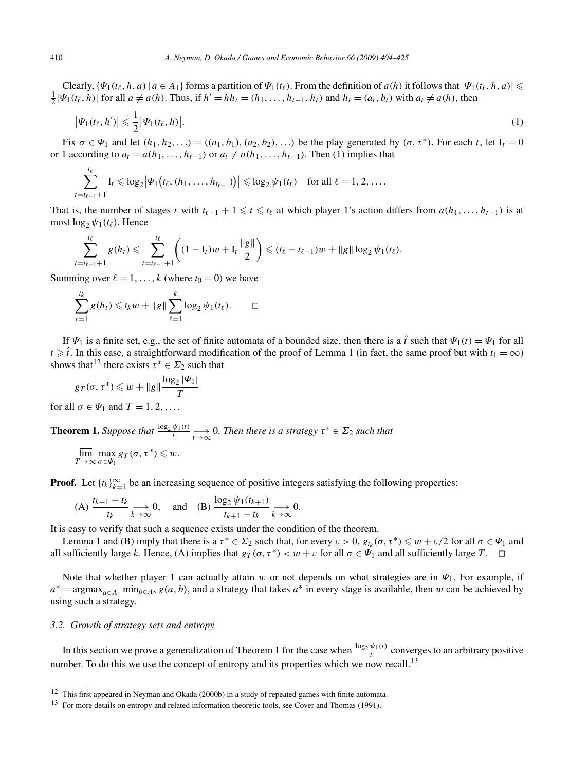Clearly,  $\{\Psi_1(t_\ell, h, a) | a \in A_1\}$  forms a partition of  $\Psi_1(t_\ell)$ . From the definition of  $a(h)$  it follows that  $|\Psi_1(t_\ell, h, a)| \leq$  $\frac{1}{2}|\Psi_1(t_\ell,h)|$  for all  $a \neq a(h)$ . Thus, if  $h' = hh_t = (h_1,\ldots,h_{t-1},h_t)$  and  $h_t = (a_t,b_t)$  with  $a_t \neq a(h)$ , then

$$
\left|\Psi_1(t_\ell, h')\right| \leqslant \frac{1}{2} \left|\Psi_1(t_\ell, h)\right|.
$$
\n<sup>(1)</sup>

Fix  $\sigma \in \Psi_1$  and let  $(h_1, h_2, \ldots) = ((a_1, b_1), (a_2, b_2), \ldots)$  be the play generated by  $(\sigma, \tau^*)$ . For each *t*, let  $I_t = 0$ or 1 according to  $a_t = a(h_1, \ldots, h_{t-1})$  or  $a_t \neq a(h_1, \ldots, h_{t-1})$ . Then (1) implies that

$$
\sum_{t=t_{\ell-1}+1}^{t_{\ell}} I_t \leq \log_2 |\Psi_1(t_{\ell}, (h_1,\ldots,h_{t_{\ell-1}}))| \leq \log_2 \psi_1(t_{\ell}) \quad \text{for all } \ell=1,2,\ldots.
$$

That is, the number of stages *t* with  $t_{\ell-1} + 1 \leq t \leq t_{\ell}$  at which player 1's action differs from  $a(h_1, \ldots, h_{t-1})$  is at most  $\log_2 \psi_1(t_\ell)$ . Hence

$$
\sum_{t=t_{\ell-1}+1}^{t_{\ell}} g(h_t) \leq \sum_{t=t_{\ell-1}+1}^{t_{\ell}} \left( (1-I_t)w + I_t \frac{\|g\|}{2} \right) \leq (t_{\ell} - t_{\ell-1})w + \|g\| \log_2 \psi_1(t_{\ell}).
$$

Summing over  $l = 1, \ldots, k$  (where  $t_0 = 0$ ) we have

$$
\sum_{t=1}^{t_k} g(h_t) \leq t_k w + \|g\| \sum_{\ell=1}^k \log_2 \psi_1(t_\ell). \qquad \Box
$$

If  $\Psi_1$  is a finite set, e.g., the set of finite automata of a bounded size, then there is a  $\hat{t}$  such that  $\Psi_1(t) = \Psi_1$  for all  $t \geq \hat{t}$ . In this case, a straightforward modification of the proof of Lemma 1 (in fact, the same proof but with  $t_1 = \infty$ ) shows that<sup>12</sup> there exists  $\tau^* \in \Sigma_2$  such that

$$
g_T(\sigma,\tau^*) \leq w + \|g\| \frac{\log_2 |\Psi_1|}{T}
$$

for all  $\sigma \in \Psi_1$  and  $T = 1, 2, \ldots$ .

**Theorem 1.** Suppose that 
$$
\frac{\log_2 \psi_1(t)}{t} \longrightarrow 0
$$
. Then there is a strategy  $\tau^* \in \Sigma_2$  such that  $\overline{\lim_{t \to \infty} \max_{\sigma \in (\sigma, \tau^*) \leq \Sigma_2}}$ .

$$
\overline{\lim}_{T\to\infty}\max_{\sigma\in\Psi_1}g_T(\sigma,\tau^*)\leqslant w.
$$

**Proof.** Let  $\{t_k\}_{k=1}^{\infty}$  be an increasing sequence of positive integers satisfying the following properties:

(A) 
$$
\frac{t_{k+1} - t_k}{t_k} \longrightarrow 0
$$
, and (B)  $\frac{\log_2 \psi_1(t_{k+1})}{t_{k+1} - t_k} \longrightarrow 0$ .

It is easy to verify that such a sequence exists under the condition of the theorem.

Lemma 1 and (B) imply that there is a  $\tau^* \in \Sigma_2$  such that, for every  $\varepsilon > 0$ ,  $g_{t_k}(\sigma, \tau^*) \leq \omega + \varepsilon/2$  for all  $\sigma \in \Psi_1$  and all sufficiently large *k*. Hence, (A) implies that  $g_T(\sigma, \tau^*) < w + \varepsilon$  for all  $\sigma \in \Psi_1$  and all sufficiently large *T*.  $\Box$ 

Note that whether player 1 can actually attain *w* or not depends on what strategies are in *Ψ*1. For example, if  $a^* = \argmax_{a \in A_1} \min_{b \in A_2} g(a, b)$ , and a strategy that takes  $a^*$  in every stage is available, then *w* can be achieved by using such a strategy.

# *3.2. Growth of strategy sets and entropy*

In this section we prove a generalization of Theorem 1 for the case when  $\frac{\log_2 \psi_1(t)}{t}$  converges to an arbitrary positive number. To do this we use the concept of entropy and its properties which we now recall.<sup>13</sup>

<sup>12</sup> This first appeared in Neyman and Okada (2000b) in a study of repeated games with finite automata.

<sup>&</sup>lt;sup>13</sup> For more details on entropy and related information theoretic tools, see Cover and Thomas (1991).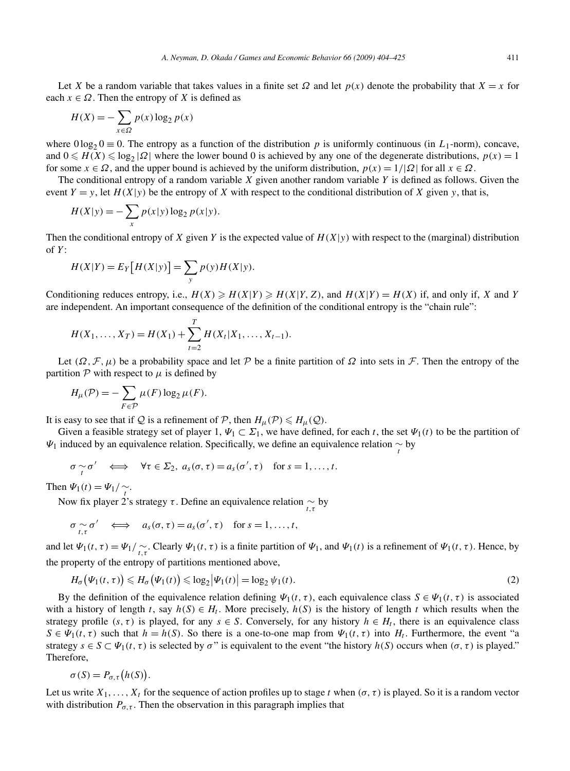Let *X* be a random variable that takes values in a finite set  $\Omega$  and let  $p(x)$  denote the probability that  $X = x$  for each  $x \in \Omega$ . Then the entropy of *X* is defined as

$$
H(X) = -\sum_{x \in \Omega} p(x) \log_2 p(x)
$$

where  $0 \log_2 0 \equiv 0$ . The entropy as a function of the distribution *p* is uniformly continuous (in *L*<sub>1</sub>-norm), concave, and  $0 \le H(X) \le \log_2 |\Omega|$  where the lower bound 0 is achieved by any one of the degenerate distributions,  $p(x) = 1$ for some  $x \in \Omega$ , and the upper bound is achieved by the uniform distribution,  $p(x) = 1/|\Omega|$  for all  $x \in \Omega$ .

The conditional entropy of a random variable *X* given another random variable *Y* is defined as follows. Given the event  $Y = y$ , let  $H(X|y)$  be the entropy of X with respect to the conditional distribution of X given *y*, that is,

$$
H(X|y) = -\sum_{x} p(x|y) \log_2 p(x|y).
$$

Then the conditional entropy of *X* given *Y* is the expected value of  $H(X|y)$  with respect to the (marginal) distribution of *Y* :

$$
H(X|Y) = E_Y[H(X|Y)] = \sum_{y} p(y)H(X|y).
$$

Conditioning reduces entropy, i.e.,  $H(X) \ge H(X|Y) \ge H(X|Y, Z)$ , and  $H(X|Y) = H(X)$  if, and only if, *X* and *Y* are independent. An important consequence of the definition of the conditional entropy is the "chain rule":

$$
H(X_1, ..., X_T) = H(X_1) + \sum_{t=2}^T H(X_t | X_1, ..., X_{t-1}).
$$

Let  $(\Omega, \mathcal{F}, \mu)$  be a probability space and let P be a finite partition of  $\Omega$  into sets in F. Then the entropy of the partition  $P$  with respect to  $\mu$  is defined by

$$
H_{\mu}(\mathcal{P}) = -\sum_{F \in \mathcal{P}} \mu(F) \log_2 \mu(F).
$$

It is easy to see that if Q is a refinement of P, then  $H_{\mu}(\mathcal{P}) \leq H_{\mu}(\mathcal{Q})$ .

Given a feasible strategy set of player 1,  $\Psi_1 \subset \Sigma_1$ , we have defined, for each *t*, the set  $\Psi_1(t)$  to be the partition of *Ψ*<sub>1</sub> induced by an equivalence relation. Specifically, we define an equivalence relation  $\sim_t$  by

$$
\sigma \underset{t}{\sim} \sigma' \quad \Longleftrightarrow \quad \forall \tau \in \Sigma_2, \ a_s(\sigma, \tau) = a_s(\sigma', \tau) \quad \text{for } s = 1, \ldots, t.
$$

Then  $\Psi_1(t) = \Psi_1 / \sum_{t}$ .

Now fix player 2's strategy *τ* . Define an equivalence relation ∼ *t,τ* by

$$
\sigma \underset{t,\tau}{\sim} \sigma' \quad \Longleftrightarrow \quad a_s(\sigma,\tau) = a_s(\sigma',\tau) \quad \text{for } s = 1,\ldots,t,
$$

and let  $\Psi_1(t, \tau) = \Psi_1 / \sum_{t, \tau}$ . Clearly  $\Psi_1(t, \tau)$  is a finite partition of  $\Psi_1$ , and  $\Psi_1(t)$  is a refinement of  $\Psi_1(t, \tau)$ . Hence, by the property of the entropy of partitions mentioned above,

$$
H_{\sigma}\big(\Psi_1(t,\tau)\big) \leqslant H_{\sigma}\big(\Psi_1(t)\big) \leqslant \log_2 \big|\Psi_1(t)\big| = \log_2 \psi_1(t). \tag{2}
$$

By the definition of the equivalence relation defining  $\Psi_1(t, \tau)$ , each equivalence class  $S \in \Psi_1(t, \tau)$  is associated with a history of length *t*, say  $h(S) \in H_t$ . More precisely,  $h(S)$  is the history of length *t* which results when the strategy profile  $(s, \tau)$  is played, for any  $s \in S$ . Conversely, for any history  $h \in H_t$ , there is an equivalence class  $S \in \Psi_1(t, \tau)$  such that  $h = h(S)$ . So there is a one-to-one map from  $\Psi_1(t, \tau)$  into  $H_t$ . Furthermore, the event "a strategy  $s \in S \subset \Psi_1(t, \tau)$  is selected by  $\sigma$ " is equivalent to the event "the history  $h(S)$  occurs when  $(\sigma, \tau)$  is played." Therefore,

$$
\sigma(S) = P_{\sigma,\tau}(h(S)).
$$

Let us write  $X_1, \ldots, X_t$  for the sequence of action profiles up to stage *t* when  $(\sigma, \tau)$  is played. So it is a random vector with distribution  $P_{\sigma,\tau}$ . Then the observation in this paragraph implies that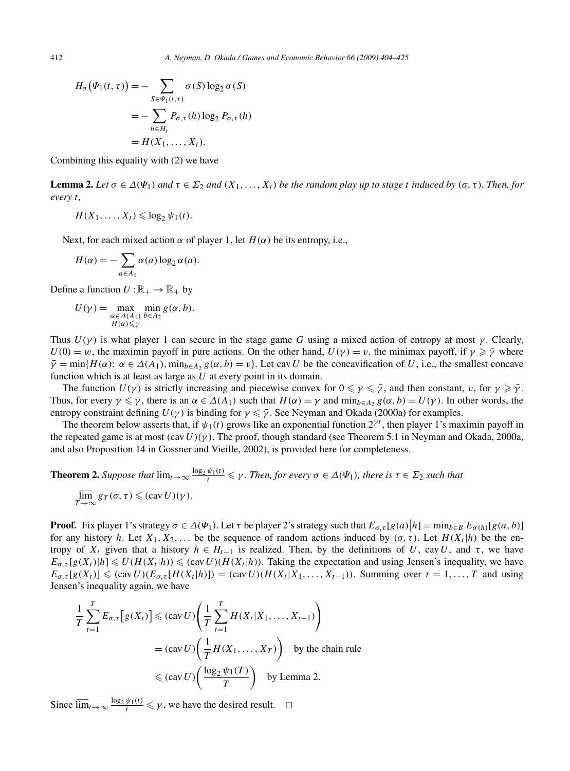$$
H_{\sigma}(\Psi_1(t,\tau)) = -\sum_{S \in \Psi_1(t,\tau)} \sigma(S) \log_2 \sigma(S)
$$
  
= 
$$
-\sum_{h \in H_t} P_{\sigma,\tau}(h) \log_2 P_{\sigma,\tau}(h)
$$
  
= 
$$
H(X_1, \ldots, X_t).
$$

Combining this equality with (2) we have

**Lemma 2.** Let  $\sigma \in \Delta(\Psi_1)$  and  $\tau \in \Sigma_2$  and  $(X_1, \ldots, X_t)$  be the random play up to stage *t* induced by  $(\sigma, \tau)$ *. Then, for every t,*

$$
H(X_1,\ldots,X_t)\leq \log_2\psi_1(t).
$$

Next, for each mixed action  $\alpha$  of player 1, let  $H(\alpha)$  be its entropy, i.e.,

$$
H(\alpha) = -\sum_{a \in A_1} \alpha(a) \log_2 \alpha(a).
$$

Define a function  $U : \mathbb{R}_+ \to \mathbb{R}_+$  by

$$
U(\gamma) = \max_{\substack{\alpha \in \Delta(A_1) \\ H(\alpha) \leq \gamma}} \min_{b \in A_2} g(\alpha, b).
$$

Thus  $U(\gamma)$  is what player 1 can secure in the stage game *G* using a mixed action of entropy at most  $\gamma$ . Clearly,  $U(0) = w$ , the maximin payoff in pure actions. On the other hand,  $U(\gamma) = v$ , the minimax payoff, if  $\gamma \geqslant \bar{\gamma}$  where  $\bar{\gamma}$  = min $\{H(\alpha): \alpha \in \Delta(A_1), \min_{b \in A_2} g(\alpha, b) = v\}$ . Let cav *U* be the concavification of *U*, i.e., the smallest concave function which is at least as large as *U* at every point in its domain.

The function  $U(\gamma)$  is strictly increasing and piecewise convex for  $0 \le \gamma \le \bar{\gamma}$ , and then constant, *v*, for  $\gamma \ge \bar{\gamma}$ . Thus, for every  $\gamma \leq \bar{\gamma}$ , there is an  $\alpha \in \Delta(A_1)$  such that  $H(\alpha) = \gamma$  and  $\min_{b \in A_2} g(\alpha, b) = U(\gamma)$ . In other words, the entropy constraint defining  $U(\gamma)$  is binding for  $\gamma \leq \bar{\gamma}$ . See Neyman and Okada (2000a) for examples.

The theorem below asserts that, if  $\psi_1(t)$  grows like an exponential function  $2^{\gamma t}$ , then player 1's maximin payoff in the repeated game is at most *(*cav*U)(γ)*. The proof, though standard (see Theorem 5.1 in Neyman and Okada, 2000a, and also Proposition 14 in Gossner and Vieille, 2002), is provided here for completeness.

**Theorem 2.** Suppose that 
$$
\overline{\lim}_{t\to\infty} \frac{\log_2 \psi_1(t)}{t} \leq \gamma
$$
. Then, for every  $\sigma \in \Delta(\Psi_1)$ , there is  $\tau \in \Sigma_2$  such that  $\overline{\lim}_{T\to\infty} \text{gr}(\sigma, \tau) \leq (\text{cav } U)(\gamma)$ .

**Proof.** Fix player 1's strategy  $\sigma \in \Delta(\Psi_1)$ . Let  $\tau$  be player 2's strategy such that  $E_{\sigma,\tau}[g(a)|h] = \min_{b \in B} E_{\sigma(h)}[g(a,b)]$ for any history *h*. Let  $X_1, X_2, \ldots$  be the sequence of random actions induced by  $(\sigma, \tau)$ . Let  $H(X_t | h)$  be the entropy of  $X_t$  given that a history  $h \in H_{t-1}$  is realized. Then, by the definitions of U, cav U, and  $\tau$ , we have  $E_{\sigma, \tau}[g(X_t)|h] \leq U(H(X_t|h)) \leq (cav U)(H(X_t|h))$ . Taking the expectation and using Jensen's inequality, we have  $E_{\sigma,\tau}[g(X_t)] \leq (cav U)(E_{\sigma,\tau}[H(X_t|h)]) = (cav U)(H(X_t|X_1,\ldots,X_{t-1}))$ . Summing over  $t = 1,\ldots,T$  and using Jensen's inequality again, we have

$$
\frac{1}{T} \sum_{t=1}^{T} E_{\sigma,\tau} [g(X_t)] \leq (cav \, U) \left( \frac{1}{T} \sum_{t=1}^{T} H(X_t | X_1, \dots, X_{t-1}) \right)
$$
\n
$$
= (cav \, U) \left( \frac{1}{T} H(X_1, \dots, X_T) \right) \quad \text{by the chain rule}
$$
\n
$$
\leq (cav \, U) \left( \frac{\log_2 \psi_1(T)}{T} \right) \quad \text{by Lemma 2.}
$$

Since  $\overline{\lim}_{t\to\infty} \frac{\log_2 \psi_1(t)}{t} \leq \gamma$ , we have the desired result.  $\Box$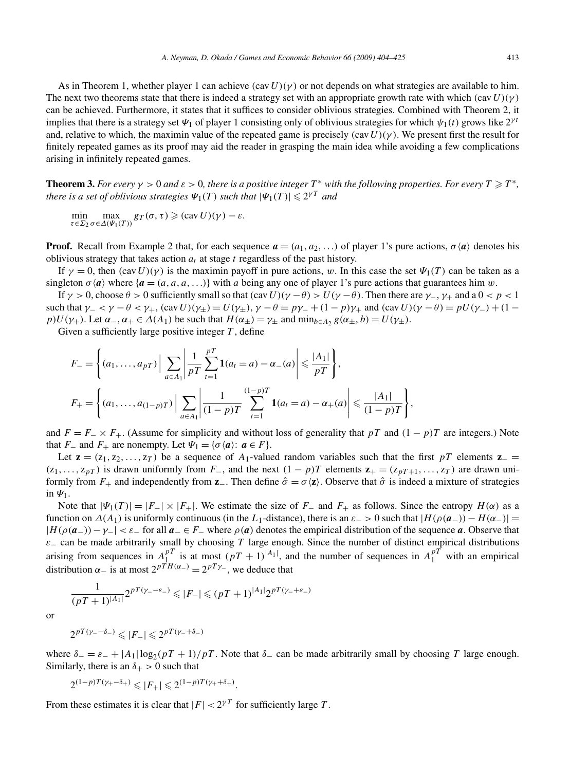As in Theorem 1, whether player 1 can achieve  $(cavU)(\gamma)$  or not depends on what strategies are available to him. The next two theorems state that there is indeed a strategy set with an appropriate growth rate with which *(*cav*U)(γ)* can be achieved. Furthermore, it states that it suffices to consider oblivious strategies. Combined with Theorem 2, it implies that there is a strategy set  $\Psi_1$  of player 1 consisting only of oblivious strategies for which  $\psi_1(t)$  grows like  $2^{\gamma t}$ and, relative to which, the maximin value of the repeated game is precisely  $(cav U)(\gamma)$ . We present first the result for finitely repeated games as its proof may aid the reader in grasping the main idea while avoiding a few complications arising in infinitely repeated games.

**Theorem 3.** *For every*  $\gamma > 0$  *and*  $\varepsilon > 0$ *, there is a positive integer*  $T^*$  *with the following properties. For every*  $T \geq T^*$ *, there is a set of oblivious strategies*  $\Psi_1(T)$  *such that*  $|\Psi_1(T)| \leq 2^{\gamma T}$  *and* 

 $\min_{\tau \in \Sigma_2} \max_{\sigma \in \Delta(\Psi_1(T))} gr(\sigma, \tau) \geqslant (\text{cav } U)(\gamma) - \varepsilon.$ 

**Proof.** Recall from Example 2 that, for each sequence  $a = (a_1, a_2, \ldots)$  of player 1's pure actions,  $\sigma \langle a \rangle$  denotes his oblivious strategy that takes action  $a_t$  at stage  $t$  regardless of the past history.

If  $\gamma = 0$ , then  $(cav U)(\gamma)$  is the maximin payoff in pure actions, w. In this case the set  $\Psi_1(T)$  can be taken as a singleton  $\sigma \langle a \rangle$  where  $\{a = (a, a, a, \ldots)\}\$  with *a* being any one of player 1's pure actions that guarantees him *w*.

If *γ >* 0, choose *θ >* 0 sufficiently small so that *(*cav*U)(γ* −*θ) > U(γ* −*θ)*. Then there are *γ*−, *γ*<sup>+</sup> and a 0 *<p<* 1 such that  $\gamma_{-} < \gamma - \theta < \gamma_{+}$ ,  $(\text{cav } U)(\gamma_{+}) = U(\gamma_{+})$ ,  $\gamma - \theta = p\gamma_{-} + (1 - p)\gamma_{+}$  and  $(\text{cav } U)(\gamma - \theta) = pU(\gamma_{-}) + (1 - p)\gamma_{+}$ *p*) $U(\gamma_+)$ . Let  $\alpha_-, \alpha_+ \in \Delta(A_1)$  be such that  $H(\alpha_+) = \gamma_+$  and  $\min_{b \in A_2} g(\alpha_+, b) = U(\gamma_+).$ 

Given a sufficiently large positive integer *T* , define

$$
F_{-} = \left\{ (a_1, \ldots, a_{pT}) \Big| \sum_{a \in A_1} \left| \frac{1}{pT} \sum_{t=1}^{pT} \mathbf{1}(a_t = a) - \alpha_{-}(a) \right| \leq \frac{|A_1|}{pT} \right\},\
$$
  

$$
F_{+} = \left\{ (a_1, \ldots, a_{(1-p)T}) \Big| \sum_{a \in A_1} \left| \frac{1}{(1-p)T} \sum_{t=1}^{(1-p)T} \mathbf{1}(a_t = a) - \alpha_{+}(a) \right| \leq \frac{|A_1|}{(1-p)T} \right\},\
$$

and  $F = F_-\times F_+$ . (Assume for simplicity and without loss of generality that *pT* and  $(1 - p)T$  are integers.) Note that *F*<sub>−</sub> and *F*<sub>+</sub> are nonempty. Let  $\Psi_1 = {\sigma \langle a \rangle : a \in F}$ .

Let **z** =  $(z_1, z_2, \ldots, z_T)$  be a sequence of *A*<sub>1</sub>-valued random variables such that the first *pT* elements **z** = *(*z<sub>1</sub>*,...*, *z<sub>p</sub>T*) is drawn uniformly from *F*−, and the next  $(1 - p)T$  elements  $z_+ = (z_{pT+1},...,z_T)$  are drawn uniformly from  $F_+$  and independently from  $\mathbf{z}$ . Then define  $\hat{\sigma} = \sigma \langle \mathbf{z} \rangle$ . Observe that  $\hat{\sigma}$  is indeed a mixture of strategies in *Ψ*1.

Note that  $|\Psi_1(T)|=|F_-|\times|F_+|$ . We estimate the size of  $F_-\$  and  $F_+$  as follows. Since the entropy  $H(\alpha)$  as a function on  $\Delta(A_1)$  is uniformly continuous (in the *L*<sub>1</sub>-distance), there is an  $\varepsilon_$  > 0 such that  $|H(\rho(a_-)) - H(\alpha_-)|$  =  $|H(\rho(a_-)) - \gamma_-| < \varepsilon_-$  for all  $a_- \in F_-$  where  $\rho(a)$  denotes the empirical distribution of the sequence *a*. Observe that  $\varepsilon$ − can be made arbitrarily small by choosing *T* large enough. Since the number of distinct empirical distributions arising from sequences in  $A_1^{pT}$  is at most  $(pT+1)^{|A_1|}$ , and the number of sequences in  $A_1^{pT}$  with an empirical distribution  $\alpha$ <sub>−</sub> is at most  $2^{p\overline{T}H(\alpha_{-})} = 2^{pT\gamma}$ , we deduce that

$$
\frac{1}{(pT+1)^{|A_1|}} 2^{pT(\gamma_--\varepsilon_-)} \leq |F_-| \leq (pT+1)^{|A_1|} 2^{pT(\gamma_-+\varepsilon_-)}
$$

or

 $2^{pT(\gamma - \delta_-)} \leq |F_-| \leq 2^{pT(\gamma - \delta_-)}$ 

where  $\delta = \epsilon_- + |A_1| \log_2(pT + 1)/pT$ . Note that  $\delta_-$  can be made arbitrarily small by choosing *T* large enough. Similarly, there is an  $\delta_{+} > 0$  such that

$$
2^{(1-p)T(\gamma_+ - \delta_+)} \leqslant |F_+| \leqslant 2^{(1-p)T(\gamma_+ + \delta_+)}.
$$

From these estimates it is clear that  $|F| < 2^{\gamma T}$  for sufficiently large *T*.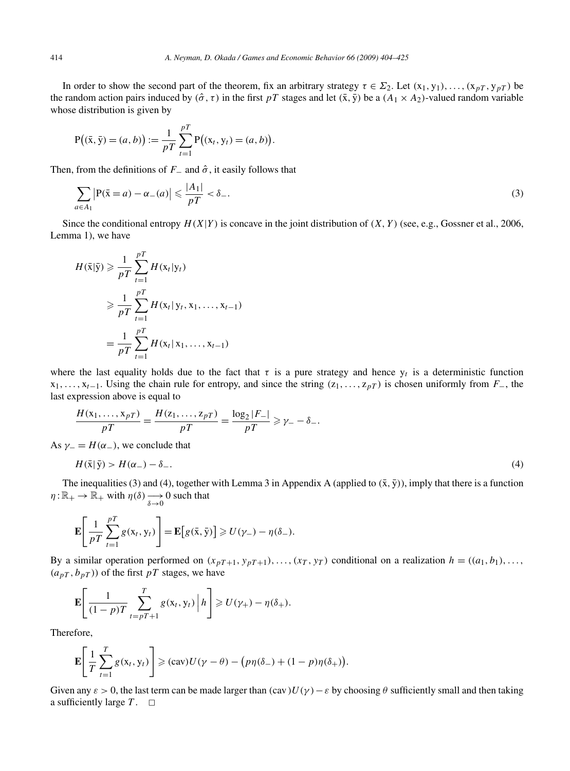In order to show the second part of the theorem, fix an arbitrary strategy  $\tau \in \Sigma_2$ . Let  $(x_1, y_1), \ldots, (x_p, y_p)$  be the random action pairs induced by  $(\hat{\sigma}, \tau)$  in the first *pT* stages and let  $(\bar{x}, \bar{y})$  be a  $(A_1 \times A_2)$ -valued random variable whose distribution is given by

$$
P((\bar{x}, \bar{y}) = (a, b)) := \frac{1}{pT} \sum_{t=1}^{pT} P((x_t, y_t) = (a, b)).
$$

Then, from the definitions of  $F_$  and  $\hat{\sigma}$ , it easily follows that

$$
\sum_{a \in A_1} \left| P(\bar{x} = a) - \alpha_-(a) \right| \leq \frac{|A_1|}{pT} < \delta_-\,. \tag{3}
$$

Since the conditional entropy  $H(X|Y)$  is concave in the joint distribution of  $(X, Y)$  (see, e.g., Gossner et al., 2006, Lemma 1), we have

$$
H(\bar{x}|\bar{y}) \geq \frac{1}{pT} \sum_{t=1}^{pT} H(x_t|y_t)
$$
  
\n
$$
\geq \frac{1}{pT} \sum_{t=1}^{pT} H(x_t|y_t, x_1, ..., x_{t-1})
$$
  
\n
$$
= \frac{1}{pT} \sum_{t=1}^{pT} H(x_t|x_1, ..., x_{t-1})
$$

where the last equality holds due to the fact that  $\tau$  is a pure strategy and hence  $y_t$  is a deterministic function x1*,...,* x*t*<sup>−</sup>1. Using the chain rule for entropy, and since the string *(*z1*,...,* z*pT )* is chosen uniformly from *F*−, the last expression above is equal to

$$
\frac{H(\mathbf{x}_1, \dots, \mathbf{x}_{pT})}{pT} = \frac{H(\mathbf{x}_1, \dots, \mathbf{x}_{pT})}{pT} = \frac{\log_2 |F_{-}|}{pT} \ge \gamma - \delta - \delta.
$$
  
As  $\gamma = H(\alpha -)$ , we conclude that

 $H(\bar{x}|\bar{y}) > H(\alpha_{-}) - \delta_{-}$ . (4)

The inequalities (3) and (4), together with Lemma 3 in Appendix A (applied to  $(\bar{x}, \bar{y})$ ), imply that there is a function  $\eta: \mathbb{R}_+ \to \mathbb{R}_+$  with  $\eta(\delta) \longrightarrow 0$  such that

$$
\mathbf{E}\left[\frac{1}{pT}\sum_{t=1}^{pT}g(x_t,y_t)\right] = \mathbf{E}\left[g(\bar{x},\bar{y})\right] \ge U(\gamma_-) - \eta(\delta_-).
$$

By a similar operation performed on  $(x_{pT+1}, y_{pT+1}), \ldots, (x_T, y_T)$  conditional on a realization  $h = ((a_1, b_1), \ldots,$  $(a_{pT}, b_{pT})$  of the first *pT* stages, we have

$$
\mathbf{E}\left[\frac{1}{(1-p)T}\sum_{t=pT+1}^{T}g(x_t,y_t)\middle|\,h\right]\geqslant U(\gamma_+)-\eta(\delta_+).
$$

Therefore,

$$
\mathbf{E}\left[\frac{1}{T}\sum_{t=1}^T g(x_t, y_t)\right] \geqslant (cav)U(\gamma - \theta) - \big(p\eta(\delta_-) + (1 - p)\eta(\delta_+)\big).
$$

Given any  $\varepsilon > 0$ , the last term can be made larger than  $(cav)U(\gamma) - \varepsilon$  by choosing  $\theta$  sufficiently small and then taking a sufficiently large  $T$ .  $\Box$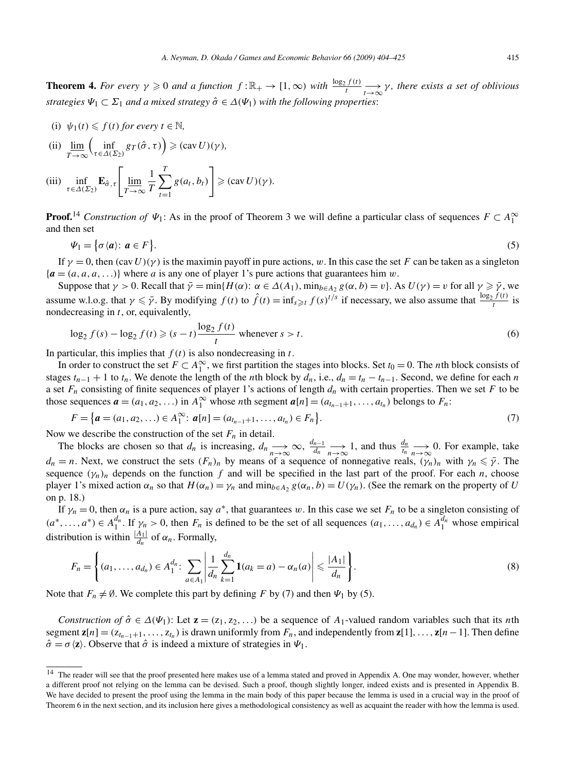**Theorem 4.** For every  $\gamma \geq 0$  and a function  $f : \mathbb{R}_+ \to [1, \infty)$  with  $\frac{\log_2 f(t)}{t} \to \infty \gamma$ , there exists a set of oblivious *strategies*  $\Psi_1 \subset \Sigma_1$  *and a mixed strategy*  $\hat{\sigma} \in \Delta(\Psi_1)$  *with the following properties:* 

(i) 
$$
\psi_1(t) \leq f(t)
$$
 for every  $t \in \mathbb{N}$ ,

(ii) 
$$
\underline{\lim}_{T \to \infty} \left( \inf_{\tau \in \Delta(\Sigma_2)} g_T(\hat{\sigma}, \tau) \right) \geq (\text{cav } U)(\gamma),
$$

(iii) 
$$
\inf_{\tau \in \Delta(\Sigma_2)} \mathbf{E}_{\hat{\sigma}, \tau} \left[ \lim_{T \to \infty} \frac{1}{T} \sum_{t=1}^T g(a_t, b_t) \right] \geq (\text{cav } U)(\gamma).
$$

**Proof.**<sup>14</sup> *Construction of*  $\Psi_1$ : As in the proof of Theorem 3 we will define a particular class of sequences  $F \subset A_1^{\infty}$ and then set

$$
\Psi_1 = \{ \sigma \langle a \rangle : a \in F \}. \tag{5}
$$

If  $\gamma = 0$ , then  $(cav U)(\gamma)$  is the maximin payoff in pure actions, w. In this case the set *F* can be taken as a singleton  ${a = (a, a, a, \ldots)}$  where *a* is any one of player 1's pure actions that guarantees him *w*.

Suppose that  $\gamma > 0$ . Recall that  $\bar{\gamma} = \min\{H(\alpha): \alpha \in \Delta(A_1), \min_{b \in A_2} g(\alpha, b) = v\}$ . As  $U(\gamma) = v$  for all  $\gamma \geq \bar{\gamma}$ , we assume w.l.o.g. that  $\gamma \leq \bar{\gamma}$ . By modifying  $f(t)$  to  $\hat{f}(t) = \inf_{s \geq t} f(s)^{t/s}$  if necessary, we also assume that  $\frac{\log_2 f(t)}{t}$  is nondecreasing in *t*, or, equivalently,

$$
\log_2 f(s) - \log_2 f(t) \ge (s - t) \frac{\log_2 f(t)}{t} \text{ whenever } s > t.
$$
 (6)

In particular, this implies that  $f(t)$  is also nondecreasing in  $t$ .

In order to construct the set  $F \subset A_1^{\infty}$ , we first partition the stages into blocks. Set  $t_0 = 0$ . The *n*th block consists of stages  $t_{n-1} + 1$  to  $t_n$ . We denote the length of the *n*th block by  $d_n$ , i.e.,  $d_n = t_n - t_{n-1}$ . Second, we define for each *n* a set  $F_n$  consisting of finite sequences of player 1's actions of length  $d_n$  with certain properties. Then we set  $F$  to be those sequences  $\mathbf{a} = (a_1, a_2, \ldots)$  in  $A_1^{\infty}$  whose *n*th segment  $\mathbf{a}[n] = (a_{t_{n-1}+1}, \ldots, a_{t_n})$  belongs to  $F_n$ :

$$
F = \{ \boldsymbol{a} = (a_1, a_2, \ldots) \in A_1^{\infty}: \boldsymbol{a}[n] = (a_{t_{n-1}+1}, \ldots, a_{t_n}) \in F_n \}.
$$
\n<sup>(7)</sup>

Now we describe the construction of the set  $F_n$  in detail.

The blocks are chosen so that  $d_n$  is increasing,  $d_n \to \infty$ ,  $\frac{d_{n-1}}{d_n} \to 1$ , and thus  $\frac{d_n}{t_n} \to 0$ . For example, take  $d_n = n$ . Next, we construct the sets  $(F_n)_n$  by means of a sequence of nonnegative reals,  $(\gamma_n)_n$  with  $\gamma_n \leq \bar{\gamma}$ . The sequence  $(\gamma_n)_n$  depends on the function  $f$  and will be specified in the last part of the proof. For each  $n$ , choose player 1's mixed action  $\alpha_n$  so that  $H(\alpha_n) = \gamma_n$  and  $\min_{b \in A_2} g(\alpha_n, b) = U(\gamma_n)$ . (See the remark on the property of *U* on p. 18.)

If  $\gamma_n = 0$ , then  $\alpha_n$  is a pure action, say  $a^*$ , that guarantees w. In this case we set  $F_n$  to be a singleton consisting of  $(a^*,...,a^*) \in A_1^{d_n}$ . If  $\gamma_n > 0$ , then  $F_n$  is defined to be the set of all sequences  $(a_1,...,a_{d_n}) \in A_1^{d_n}$  whose empirical distribution is within  $\frac{|A_1|}{d_n}$  of  $\alpha_n$ . Formally,

$$
F_n = \left\{ (a_1, \ldots, a_{d_n}) \in A_1^{d_n}: \sum_{a \in A_1} \left| \frac{1}{d_n} \sum_{k=1}^{d_n} \mathbf{1}(a_k = a) - \alpha_n(a) \right| \leq \frac{|A_1|}{d_n} \right\}.
$$
 (8)

Note that  $F_n \neq \emptyset$ . We complete this part by defining *F* by (7) and then  $\Psi_1$  by (5).

*Construction of*  $\hat{\sigma} \in \Delta(\Psi_1)$ : Let  $\mathbf{z} = (z_1, z_2, \ldots)$  be a sequence of  $A_1$ -valued random variables such that its *n*th segment  $z[n] = (z_{t_{n-1}+1},...,z_{t_n})$  is drawn uniformly from  $F_n$ , and independently from  $z[1],...,z[n-1]$ . Then define  $\hat{\sigma} = \sigma \langle z \rangle$ . Observe that  $\hat{\sigma}$  is indeed a mixture of strategies in  $\Psi_1$ .

<sup>&</sup>lt;sup>14</sup> The reader will see that the proof presented here makes use of a lemma stated and proved in Appendix A. One may wonder, however, whether a different proof not relying on the lemma can be devised. Such a proof, though slightly longer, indeed exists and is presented in Appendix B. We have decided to present the proof using the lemma in the main body of this paper because the lemma is used in a crucial way in the proof of Theorem 6 in the next section, and its inclusion here gives a methodological consistency as well as acquaint the reader with how the lemma is used.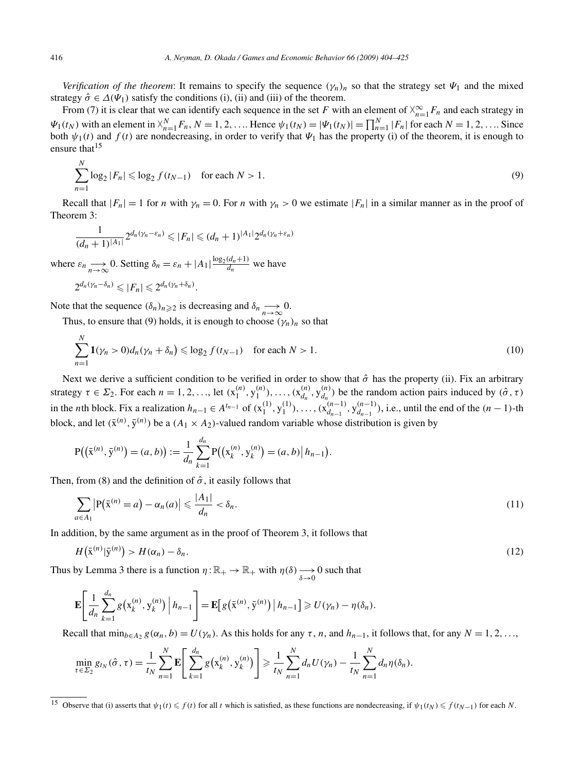*Verification of the theorem*: It remains to specify the sequence  $(\gamma_n)_n$  so that the strategy set  $\Psi_1$  and the mixed strategy  $\hat{\sigma} \in \Delta(\Psi_1)$  satisfy the conditions (i), (ii) and (iii) of the theorem.

From (7) it is clear that we can identify each sequence in the set *F* with an element of  $\chi_{n=1}^{\infty} F_n$  and each strategy in  $\Psi_1(t_N)$  with an element in  $X_{n=1}^N F_n$ ,  $N=1,2,...$  Hence  $\Psi_1(t_N) = |\Psi_1(t_N)| = \prod_{n=1}^N |F_n|$  for each  $N=1,2,...$  Since both  $\psi_1(t)$  and  $f(t)$  are nondecreasing, in order to verify that  $\Psi_1$  has the property (i) of the theorem, it is enough to ensure that  $15$ 

$$
\sum_{n=1}^{N} \log_2 |F_n| \leq \log_2 f(t_{N-1}) \quad \text{for each } N > 1.
$$
 (9)

Recall that  $|F_n| = 1$  for *n* with  $\gamma_n = 0$ . For *n* with  $\gamma_n > 0$  we estimate  $|F_n|$  in a similar manner as in the proof of Theorem 3:

$$
\frac{1}{(d_n+1)^{|A_1|}} 2^{d_n(\gamma_n-\varepsilon_n)} \leqslant |F_n| \leqslant (d_n+1)^{|A_1|} 2^{d_n(\gamma_n+\varepsilon_n)}
$$

where  $\varepsilon_n \longrightarrow 0$ . Setting  $\delta_n = \varepsilon_n + |A_1| \frac{\log_2(d_n+1)}{d_n}$  we have

$$
2^{d_n(\gamma_n-\delta_n)} \leqslant |F_n| \leqslant 2^{d_n(\gamma_n+\delta_n)}.
$$

Note that the sequence  $(\delta_n)_{n\geq 2}$  is decreasing and  $\delta_n \longrightarrow 0$ .

Thus, to ensure that (9) holds, it is enough to choose  $(\gamma_n)_n$  so that

$$
\sum_{n=1}^{N} \mathbf{1}(\gamma_n > 0) d_n(\gamma_n + \delta_n) \leqslant \log_2 f(t_{N-1}) \quad \text{for each } N > 1. \tag{10}
$$

Next we derive a sufficient condition to be verified in order to show that  $\hat{\sigma}$  has the property (ii). Fix an arbitrary strategy  $\tau \in \Sigma_2$ . For each  $n = 1, 2, ...,$  let  $(x_1^{(n)}, y_1^{(n)}), ..., (x_{d_n}^{(n)}, y_{d_n}^{(n)})$  be the random action pairs induced by  $(\hat{\sigma}, \tau)$ in the *n*th block. Fix a realization  $h_{n-1} \in A^{t_{n-1}}$  of  $(x_1^{(1)}, y_1^{(1)})$ , ...,  $(x_{d_{n-1}}^{(n-1)}, y_{d_{n-1}}^{(n-1)})$ , i.e., until the end of the  $(n-1)$ -th block, and let  $(\bar{x}^{(n)}, \bar{y}^{(n)})$  be a  $(A_1 \times A_2)$ -valued random variable whose distribution is given by

$$
P((\bar{x}^{(n)}, \bar{y}^{(n)}) = (a, b)) := \frac{1}{d_n} \sum_{k=1}^{d_n} P((x_k^{(n)}, y_k^{(n)}) = (a, b) | h_{n-1}).
$$

Then, from (8) and the definition of  $\hat{\sigma}$ , it easily follows that

$$
\sum_{a\in A_1} \left| P(\bar{x}^{(n)} = a) - \alpha_n(a) \right| \leq \frac{|A_1|}{d_n} < \delta_n. \tag{11}
$$

In addition, by the same argument as in the proof of Theorem 3, it follows that

$$
H(\bar{\mathbf{x}}^{(n)}|\bar{\mathbf{y}}^{(n)}) > H(\alpha_n) - \delta_n. \tag{12}
$$

Thus by Lemma 3 there is a function  $\eta : \mathbb{R}_+ \to \mathbb{R}_+$  with  $\eta(\delta) \to 0$  such that

$$
\mathbf{E}\left[\frac{1}{d_n}\sum_{k=1}^{d_n}g\left(x_k^{(n)},y_k^{(n)}\right)\Big|h_{n-1}\right] = \mathbf{E}\left[g\left(\bar{x}^{(n)},\bar{y}^{(n)}\right)\Big|h_{n-1}\right] \geq U(\gamma_n) - \eta(\delta_n).
$$

Recall that  $\min_{b \in A_2} g(\alpha_n, b) = U(\gamma_n)$ . As this holds for any  $\tau$ , *n*, and  $h_{n-1}$ , it follows that, for any  $N = 1, 2, ...,$ 

$$
\min_{\tau \in \Sigma_2} g_{t_N}(\hat{\sigma}, \tau) = \frac{1}{t_N} \sum_{n=1}^N \mathbf{E} \left[ \sum_{k=1}^{d_n} g(x_k^{(n)}, y_k^{(n)}) \right] \ge \frac{1}{t_N} \sum_{n=1}^N d_n U(\gamma_n) - \frac{1}{t_N} \sum_{n=1}^N d_n \eta(\delta_n).
$$

*N*

<sup>&</sup>lt;sup>15</sup> Observe that (i) asserts that  $\psi_1(t) \leq f(t)$  for all *t* which is satisfied, as these functions are nondecreasing, if  $\psi_1(t_N) \leq f(t_{N-1})$  for each *N*.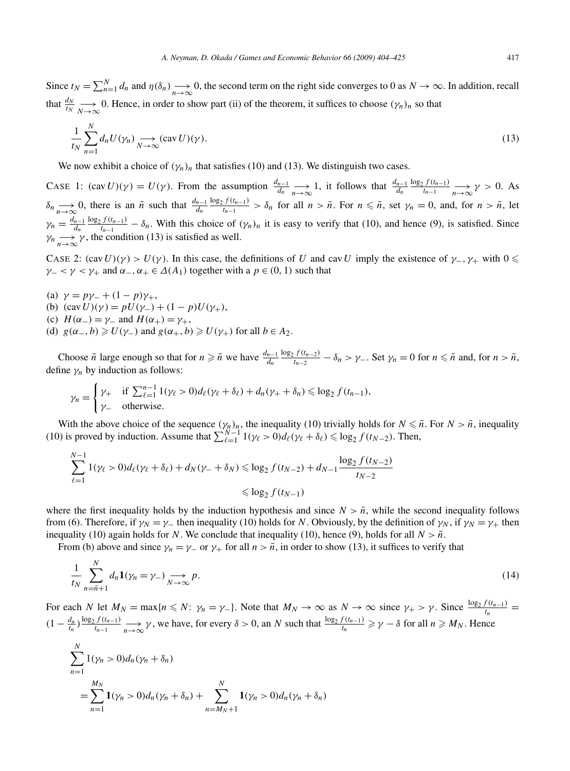$$
\frac{1}{t_N} \sum_{n=1}^{N} d_n U(\gamma_n) \underset{N \to \infty}{\longrightarrow} (\text{cav } U)(\gamma).
$$
\n(13)

We now exhibit a choice of  $(\gamma_n)_n$  that satisfies (10) and (13). We distinguish two cases.

CASE 1:  $(\text{cav } U)(\gamma) = U(\gamma)$ . From the assumption  $\frac{d_{n-1}}{d_n} \longrightarrow_{\infty}^{\infty} 1$ , it follows that  $\frac{d_{n-1}}{d_n} \frac{\log_2 f(t_{n-1})}{t_{n-1}} \longrightarrow_{n \to \infty}^{\infty} \gamma > 0$ . As  $\delta_n \longrightarrow 0$ , there is an  $\bar{n}$  such that  $\frac{d_{n-1}}{d_n} \frac{\log_2 f(t_{n-1})}{t_{n-1}} > \delta_n$  for all  $n > \bar{n}$ . For  $n \leq \bar{n}$ , set  $\gamma_n = 0$ , and, for  $n > \bar{n}$ , let  $\gamma_n = \frac{d_{n-1}}{d_n} \frac{\log_2 f(t_{n-1})}{t_{n-1}} - \delta_n$ . With this choice of  $(\gamma_n)_n$  it is easy to verify that (10), and hence (9), is satisfied. Since  $\gamma_n \longrightarrow_{n \to \infty} \gamma$ , the condition (13) is satisfied as well.

CASE 2:  $(cav U)(\gamma) > U(\gamma)$ . In this case, the definitions of *U* and cav *U* imply the existence of  $\gamma$ <sub>−</sub>,  $\gamma$ <sub>+</sub> with 0  $\leq$ *γ* – *< γ* < *γ*+ and  $\alpha$ <sub>-</sub>,  $\alpha$ <sub>+</sub>  $\in \Delta(A_1)$  together with a *p*  $\in (0, 1)$  such that

- (a)  $\gamma = p\gamma_+ + (1 p)\gamma_+,$
- (b)  $(cav U)(\gamma) = pU(\gamma_-) + (1 p)U(\gamma_+),$
- (c)  $H(\alpha_-) = \gamma_-$  and  $H(\alpha_+) = \gamma_+$ ,
- (d)  $g(\alpha_-, b) \ge U(\gamma_-)$  and  $g(\alpha_+, b) \ge U(\gamma_+)$  for all  $b \in A_2$ .

Choose  $\bar{n}$  large enough so that for  $n \geq \bar{n}$  we have  $\frac{d_{n-1}}{d_n} \frac{\log_2 f(t_{n-2})}{t_{n-2}} - \delta_n > \gamma_-$ . Set  $\gamma_n = 0$  for  $n \leq \bar{n}$  and, for  $n > \bar{n}$ , define  $\gamma_n$  by induction as follows:

$$
\gamma_n = \begin{cases} \gamma_+ & \text{if } \sum_{\ell=1}^{n-1} 1(\gamma_\ell > 0) d_\ell(\gamma_\ell + \delta_\ell) + d_n(\gamma_+ + \delta_n) \le \log_2 f(t_{n-1}), \\ \gamma_- & \text{otherwise.} \end{cases}
$$

With the above choice of the sequence  $(\gamma_n)_n$ , the inequality (10) trivially holds for  $N \leq \bar{n}$ . For  $N > \bar{n}$ , inequality (10) is proved by induction. Assume that  $\sum_{\ell=1}^{N-1} 1(\gamma_\ell > 0) d_\ell(\gamma_\ell + \delta_\ell) \leq \log_2 f(t_{N-2})$ . Then,

$$
\sum_{\ell=1}^{N-1} 1(\gamma_{\ell} > 0) d_{\ell}(\gamma_{\ell} + \delta_{\ell}) + d_N(\gamma_{-} + \delta_N) \leqslant \log_2 f(t_{N-2}) + d_{N-1} \frac{\log_2 f(t_{N-2})}{t_{N-2}}
$$
  

$$
\leqslant \log_2 f(t_{N-1})
$$

where the first inequality holds by the induction hypothesis and since  $N > \bar{n}$ , while the second inequality follows from (6). Therefore, if  $\gamma_N = \gamma_-$  then inequality (10) holds for *N*. Obviously, by the definition of  $\gamma_N$ , if  $\gamma_N = \gamma_+$  then inequality (10) again holds for *N*. We conclude that inequality (10), hence (9), holds for all  $N > \bar{n}$ .

From (b) above and since  $\gamma_n = \gamma_-\$  or  $\gamma_+$  for all  $n > \bar{n}$ , in order to show (13), it suffices to verify that

$$
\frac{1}{t_N} \sum_{n=\bar{n}+1}^{N} d_n \mathbf{1}(\gamma_n = \gamma_-) \underset{N \to \infty}{\longrightarrow} p. \tag{14}
$$

For each *N* let  $M_N = \max\{n \le N: \gamma_n = \gamma_-\}$ . Note that  $M_N \to \infty$  as  $N \to \infty$  since  $\gamma_+ > \gamma$ . Since  $\frac{\log_2 f(t_{n-1})}{t_n} =$  $(1 - \frac{d_n}{t_n}) \frac{\log_2 f(t_{n-1})}{t_{n-1}} \longrightarrow_{n \to \infty} \gamma$ , we have, for every  $\delta > 0$ , an N such that  $\frac{\log_2 f(t_{n-1})}{t_n} \ge \gamma - \delta$  for all  $n \ge M_N$ . Hence

$$
\sum_{n=1}^{N} 1(\gamma_n > 0) d_n(\gamma_n + \delta_n)
$$
  
= 
$$
\sum_{n=1}^{M_N} 1(\gamma_n > 0) d_n(\gamma_n + \delta_n) + \sum_{n=M_N+1}^{N} 1(\gamma_n > 0) d_n(\gamma_n + \delta_n)
$$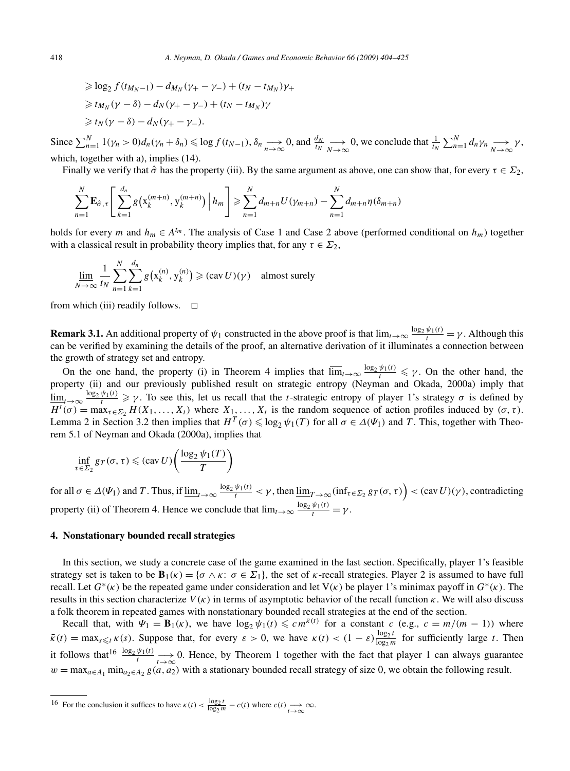$$
\geq \log_2 f(t_{M_N-1}) - d_{M_N}(\gamma_+ - \gamma_-) + (t_N - t_{M_N})\gamma_+ \geq t_{M_N}(\gamma - \delta) - d_N(\gamma_+ - \gamma_-) + (t_N - t_{M_N})\gamma \geq t_N(\gamma - \delta) - d_N(\gamma_+ - \gamma_-).
$$

Since  $\sum_{n=1}^{N} 1(\gamma_n > 0)d_n(\gamma_n + \delta_n) \le \log f(t_{N-1}), \delta_n \to 0$ , and  $\frac{d_N}{t_N} \to 0$ , we conclude that  $\frac{1}{t_N} \sum_{n=1}^{N} d_n \gamma_n \to 0$ , which, together with a), implies  $(14)$ .

Finally we verify that  $\hat{\sigma}$  has the property (iii). By the same argument as above, one can show that, for every  $\tau \in \Sigma_2$ ,

$$
\sum_{n=1}^{N} \mathbf{E}_{\hat{\sigma}, \tau} \left[ \sum_{k=1}^{d_n} g(x_k^{(m+n)}, y_k^{(m+n)}) \middle| h_m \right] \geq \sum_{n=1}^{N} d_{m+n} U(\gamma_{m+n}) - \sum_{n=1}^{N} d_{m+n} \eta(\delta_{m+n})
$$

holds for every *m* and  $h_m \in A^{t_m}$ . The analysis of Case 1 and Case 2 above (performed conditional on  $h_m$ ) together with a classical result in probability theory implies that, for any  $\tau \in \Sigma_2$ ,

$$
\lim_{N \to \infty} \frac{1}{t_N} \sum_{n=1}^{N} \sum_{k=1}^{d_n} g\big(\mathbf{x}_k^{(n)}, \mathbf{y}_k^{(n)}\big) \ge (\text{cav } U)(\gamma) \quad \text{almost surely}
$$

from which (iii) readily follows.  $\Box$ 

**Remark 3.1.** An additional property of  $\psi_1$  constructed in the above proof is that  $\lim_{t\to\infty} \frac{\log_2 \psi_1(t)}{t} = \gamma$ . Although this can be verified by examining the details of the proof, an alternative derivation of it illuminates a connection between the growth of strategy set and entropy.

On the one hand, the property (i) in Theorem 4 implies that  $\overline{\lim}_{t\to\infty} \frac{\log_2 \psi_1(t)}{t} \leq \gamma$ . On the other hand, the property (ii) and our previously published result on strategic entropy (Neyman and Okada, 2000a) imply that  $\underline{\lim}_{t\to\infty} \frac{\log_2 \psi_1(t)}{t} \geq \gamma$ . To see this, let us recall that the *t*-strategic entropy of player 1's strategy  $\sigma$  is defined by  $H^t(\sigma) = \max_{\tau \in \Sigma_2} H(X_1, \ldots, X_t)$  where  $X_1, \ldots, X_t$  is the random sequence of action profiles induced by  $(\sigma, \tau)$ . Lemma 2 in Section 3.2 then implies that  $H^T(\sigma) \leq \log_2 \psi_1(T)$  for all  $\sigma \in \Delta(\Psi_1)$  and *T*. This, together with Theorem 5.1 of Neyman and Okada (2000a), implies that

$$
\inf_{\tau \in \Sigma_2} g_T(\sigma, \tau) \leqslant (cav U) \left( \frac{\log_2 \psi_1(T)}{T} \right)
$$

for all  $\sigma \in \Delta(\Psi_1)$  and T. Thus, if  $\underline{\lim}_{t\to\infty} \frac{\log_2 \psi_1(t)}{t} < \gamma$ , then  $\underline{\lim}_{T\to\infty} (\inf_{\tau \in \Sigma_2} g_T(\sigma, \tau)) < (cav U)(\gamma)$ , contradicting property (ii) of Theorem 4. Hence we conclude that  $\lim_{t\to\infty} \frac{\log_2 \psi_1(t)}{t} = \gamma$ .

# **4. Nonstationary bounded recall strategies**

In this section, we study a concrete case of the game examined in the last section. Specifically, player 1's feasible strategy set is taken to be  $\mathbf{B}_1(\kappa) = {\sigma \wedge \kappa : \sigma \in \Sigma_1}$ , the set of  $\kappa$ -recall strategies. Player 2 is assumed to have full recall. Let *G*∗*(κ)* be the repeated game under consideration and let V*(κ)* be player 1's minimax payoff in *G*∗*(κ)*. The results in this section characterize *V (κ)* in terms of asymptotic behavior of the recall function *κ*. We will also discuss a folk theorem in repeated games with nonstationary bounded recall strategies at the end of the section.

Recall that, with  $\Psi_1 = \mathbf{B}_1(\kappa)$ , we have  $\log_2 \psi_1(t) \leqslant c m^{\bar{\kappa}(t)}$  for a constant  $c$  (e.g.,  $c = m/(m-1)$ ) where  $\bar{\kappa}(t) = \max_{s \le t} \kappa(s)$ . Suppose that, for every  $\varepsilon > 0$ , we have  $\kappa(t) < (1 - \varepsilon) \frac{\log_2 t}{\log_2 m}$  for sufficiently large *t*. Then it follows that<sup>16</sup>  $\frac{\log_2 \psi_1(t)}{t}$   $\longrightarrow$  0. Hence, by Theorem 1 together with the fact that player 1 can always guarantee  $w = \max_{a \in A_1} \min_{a_2 \in A_2} g(a, a_2)$  with a stationary bounded recall strategy of size 0, we obtain the following result.

<sup>16</sup> For the conclusion it suffices to have 
$$
\kappa(t) < \frac{\log_2 t}{\log_2 m} - c(t)
$$
 where  $c(t) \longrightarrow \infty$ .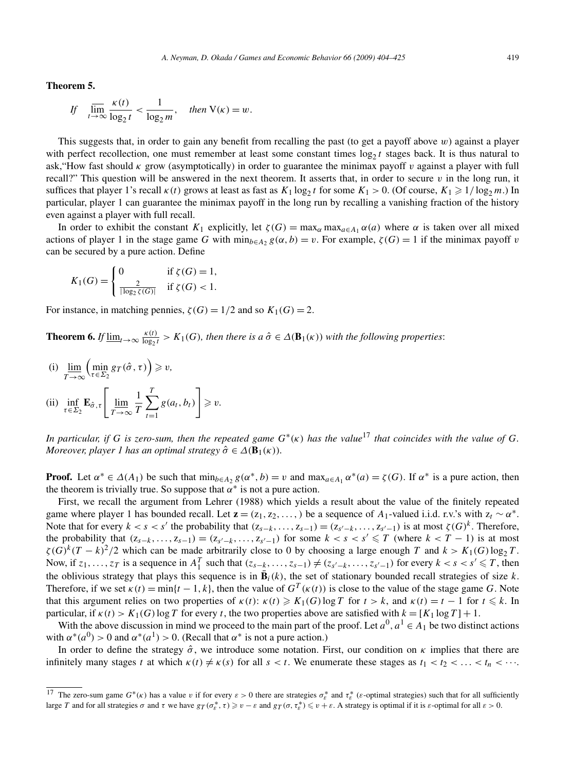**Theorem 5.**

If 
$$
\lim_{t \to \infty} \frac{\kappa(t)}{\log_2 t} < \frac{1}{\log_2 m}
$$
, then  $V(\kappa) = w$ .

This suggests that, in order to gain any benefit from recalling the past (to get a payoff above *w*) against a player with perfect recollection, one must remember at least some constant times  $\log_2 t$  stages back. It is thus natural to ask,"How fast should *κ* grow (asymptotically) in order to guarantee the minimax payoff *v* against a player with full recall?" This question will be answered in the next theorem. It asserts that, in order to secure  $v$  in the long run, it suffices that player 1's recall  $\kappa(t)$  grows at least as fast as  $K_1 \log_2 t$  for some  $K_1 > 0$ . (Of course,  $K_1 \geq 1/\log_2 m$ .) In particular, player 1 can guarantee the minimax payoff in the long run by recalling a vanishing fraction of the history even against a player with full recall.

In order to exhibit the constant  $K_1$  explicitly, let  $\zeta(G) = \max_{\alpha} \max_{a \in A_1} \alpha(a)$  where  $\alpha$  is taken over all mixed actions of player 1 in the stage game *G* with  $\min_{b \in A_2} g(\alpha, b) = v$ . For example,  $\zeta(G) = 1$  if the minimax payoff *v* can be secured by a pure action. Define

$$
K_1(G) = \begin{cases} 0 & \text{if } \zeta(G) = 1, \\ \frac{2}{|\log_2 \zeta(G)|} & \text{if } \zeta(G) < 1. \end{cases}
$$

For instance, in matching pennies,  $\zeta(G) = 1/2$  and so  $K_1(G) = 2$ .

**Theorem 6.** *If*  $\underline{\lim}_{t\to\infty} \frac{\kappa(t)}{\log_2 t} > K_1(G)$ , then there is a  $\hat{\sigma} \in \Delta(\mathbf{B}_1(\kappa))$  with the following properties:

(i) lim  $T \rightarrow \infty$  $\left(\min_{\tau \in \Sigma_2} g_T(\hat{\sigma}, \tau)\right) \geq v,$ (ii)  $\inf_{\tau \in \Sigma_2} \mathbf{E}_{\hat{\sigma}, \tau}$ Г lim  $T \rightarrow \infty$ 1 *T*  $\sum$ *T t*=1  $g(a_t,b_t)$ 1 *v.*

*In particular, if G is zero-sum, then the repeated game*  $G^*(\kappa)$  *has the value*<sup>17</sup> *that coincides with the value of G*. *Moreover, player 1 has an optimal strategy*  $\hat{\sigma} \in \Delta(\mathbf{B}_1(\kappa))$ *.* 

**Proof.** Let  $\alpha^* \in \Delta(A_1)$  be such that  $\min_{b \in A_2} g(\alpha^*, b) = v$  and  $\max_{a \in A_1} \alpha^*(a) = \zeta(G)$ . If  $\alpha^*$  is a pure action, then the theorem is trivially true. So suppose that  $\alpha^*$  is not a pure action.

First, we recall the argument from Lehrer (1988) which yields a result about the value of the finitely repeated game where player 1 has bounded recall. Let  $\mathbf{z} = (z_1, z_2, \ldots)$  be a sequence of  $A_1$ -valued i.i.d. r.v.'s with  $z_t \sim \alpha^*$ . Note that for every  $k < s < s'$  the probability that  $(z_{s-k},...,z_{s-1}) = (z_{s'-k},...,z_{s'-1})$  is at most  $\zeta(G)^k$ . Therefore, the probability that  $(z_{s-k},...,z_{s-1}) = (z_{s-k},...,z_{s-1})$  for some  $k < s < s' \leq T$  (where  $k < T - 1$ ) is at most  $\zeta(G)^k(T-k)^2/2$  which can be made arbitrarily close to 0 by choosing a large enough *T* and  $k > K_1(G) \log_2 T$ . Now, if  $z_1, \ldots, z_T$  is a sequence in  $A_1^T$  such that  $(z_{s-k}, \ldots, z_{s-1}) \neq (z_{s-k}, \ldots, z_{s-k-1})$  for every  $k < s < s' \leq T$ , then the oblivious strategy that plays this sequence is in  $\bar{\mathbf{B}}_i(k)$ , the set of stationary bounded recall strategies of size *k*. Therefore, if we set  $\kappa(t) = \min\{t-1, k\}$ , then the value of  $G^T(\kappa(t))$  is close to the value of the stage game *G*. Note that this argument relies on two properties of  $\kappa(t)$ :  $\kappa(t) \geq K_1(G) \log T$  for  $t > k$ , and  $\kappa(t) = t - 1$  for  $t \leq k$ . In particular, if  $\kappa(t) > K_1(G) \log T$  for every *t*, the two properties above are satisfied with  $k = [K_1 \log T] + 1$ .

With the above discussion in mind we proceed to the main part of the proof. Let  $a^0$ ,  $a^1 \in A_1$  be two distinct actions with  $\alpha^*(a^0) > 0$  and  $\alpha^*(a^1) > 0$ . (Recall that  $\alpha^*$  is not a pure action.)

In order to define the strategy  $\hat{\sigma}$ , we introduce some notation. First, our condition on  $\kappa$  implies that there are infinitely many stages *t* at which  $\kappa(t) \neq \kappa(s)$  for all  $s < t$ . We enumerate these stages as  $t_1 < t_2 < \ldots < t_n < \cdots$ .

<sup>&</sup>lt;sup>17</sup> The zero-sum game  $G^*(\kappa)$  has a value *v* if for every  $\varepsilon > 0$  there are strategies  $\sigma^*_{\varepsilon}$  and  $\tau^*_{\varepsilon}$  ( $\varepsilon$ -optimal strategies) such that for all sufficiently large T and for all strategies  $\sigma$  and  $\tau$  we have  $g_T(\sigma_\varepsilon^*, \tau) \geq v - \varepsilon$  and  $g_T(\sigma, \tau_\varepsilon^*) \leq v + \varepsilon$ . A strategy is optimal if it is  $\varepsilon$ -optimal for all  $\varepsilon > 0$ .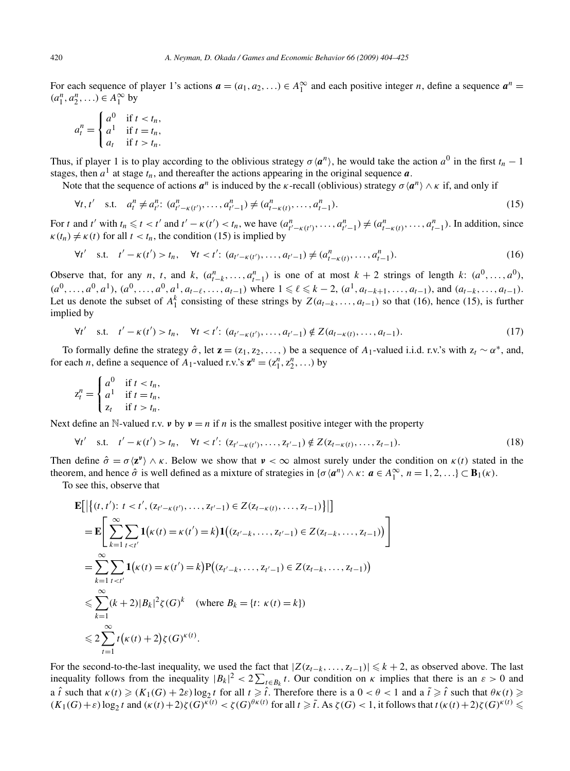For each sequence of player 1's actions  $\mathbf{a} = (a_1, a_2, \ldots) \in A_1^{\infty}$  and each positive integer *n*, define a sequence  $\mathbf{a}^n =$  $(a_1^n, a_2^n, \ldots) \in A_1^{\infty}$  by

$$
a_t^n = \begin{cases} a^0 & \text{if } t < t_n, \\ a^1 & \text{if } t = t_n, \\ a_t & \text{if } t > t_n. \end{cases}
$$

Thus, if player 1 is to play according to the oblivious strategy  $\sigma \langle \mathbf{a}^n \rangle$ , he would take the action  $a^0$  in the first  $t_n - 1$ stages, then  $a^1$  at stage  $t_n$ , and thereafter the actions appearing in the original sequence  $a$ .

Note that the sequence of actions  $a^n$  is induced by the *κ*-recall (oblivious) strategy  $\sigma \langle a^n \rangle \wedge \kappa$  if, and only if

$$
\forall t, t' \quad \text{s.t.} \quad a_t^n \neq a_{t'}^n: (a_{t'-\kappa(t')}^n, \dots, a_{t'-1}^n) \neq (a_{t-\kappa(t)}^n, \dots, a_{t-1}^n). \tag{15}
$$

For t and t' with  $t_n \le t < t'$  and  $t' - \kappa(t') < t_n$ , we have  $(a_{t'-\kappa(t')}^n, \ldots, a_{t'-1}^n) \ne (a_{t-\kappa(t)}^n, \ldots, a_{t-1}^n)$ . In addition, since  $\kappa(t_n) \neq \kappa(t)$  for all  $t < t_n$ , the condition (15) is implied by

$$
\forall t' \quad \text{s.t.} \quad t' - \kappa(t') > t_n, \quad \forall t < t' \colon (a_{t'-\kappa(t')}, \dots, a_{t'-1}) \neq (a_{t-\kappa(t)}^n, \dots, a_{t-1}^n). \tag{16}
$$

Observe that, for any *n*, *t*, and *k*,  $(a_{t-k}^n, \ldots, a_{t-1}^n)$  is one of at most  $k+2$  strings of length *k*:  $(a^0, \ldots, a^0)$ ,  $(a^0, \ldots, a^0, a^1), (a^0, \ldots, a^0, a^1, a_{t-\ell}, \ldots, a_{t-1})$  where  $1 \leq \ell \leq k-2$ ,  $(a^1, a_{t-k+1}, \ldots, a_{t-1})$ , and  $(a_{t-k}, \ldots, a_{t-1})$ . Let us denote the subset of  $A_1^k$  consisting of these strings by  $Z(a_{t-k},...,a_{t-1})$  so that (16), hence (15), is further implied by

$$
\forall t' \quad \text{s.t.} \quad t' - \kappa(t') > t_n, \quad \forall t < t' \colon (a_{t'-\kappa(t')}, \dots, a_{t'-1}) \notin Z(a_{t-\kappa(t)}, \dots, a_{t-1}). \tag{17}
$$

To formally define the strategy  $\hat{\sigma}$ , let **z** = ( $z_1, z_2, \ldots$ ,) be a sequence of  $A_1$ -valued i.i.d. r.v.'s with  $z_t \sim \alpha^*$ , and, for each *n*, define a sequence of *A*<sub>1</sub>-valued r.v.'s  $\mathbf{z}^n = (z_1^n, z_2^n, \ldots)$  by

$$
z_t^n = \begin{cases} a^0 & \text{if } t < t_n, \\ a^1 & \text{if } t = t_n, \\ z_t & \text{if } t > t_n. \end{cases}
$$

Next define an N-valued r.v. *v* by  $v = n$  if *n* is the smallest positive integer with the property

$$
\forall t' \quad s.t. \quad t' - \kappa(t') > t_n, \quad \forall t < t' : (z_{t'-\kappa(t')}, \dots, z_{t'-1}) \notin Z(z_{t-\kappa(t)}, \dots, z_{t-1}). \tag{18}
$$

Then define  $\hat{\sigma} = \sigma \langle z^{\nu} \rangle \wedge \kappa$ . Below we show that  $\nu < \infty$  almost surely under the condition on  $\kappa(t)$  stated in the theorem, and hence  $\hat{\sigma}$  is well defined as a mixture of strategies in  $\{\sigma \langle \mathbf{a}^n \rangle \wedge \kappa : \mathbf{a} \in A_1^{\infty}, n = 1, 2, ...\} \subset \mathbf{B}_1(\kappa)$ .

To see this, observe that

$$
\mathbf{E}\left[\left\{(t, t'): t < t', (z_{t'-\kappa(t')}, \dots, z_{t'-1}) \in Z(z_{t-\kappa(t)}, \dots, z_{t-1})\right\}\right]\right]
$$
\n
$$
= \mathbf{E}\left[\sum_{k=1}^{\infty} \sum_{t < t'} \mathbf{1}(\kappa(t) = \kappa(t') = k) \mathbf{1}\big((z_{t'-k}, \dots, z_{t'-1}) \in Z(z_{t-k}, \dots, z_{t-1})\big)\right]
$$
\n
$$
= \sum_{k=1}^{\infty} \sum_{t < t'} \mathbf{1}(\kappa(t) = \kappa(t') = k) \mathbf{P}\big((z_{t'-k}, \dots, z_{t'-1}) \in Z(z_{t-k}, \dots, z_{t-1})\big)
$$
\n
$$
\leq \sum_{k=1}^{\infty} (k+2) |B_k|^2 \zeta(G)^k \quad \text{(where } B_k = \{t: \kappa(t) = k\})
$$
\n
$$
\leq 2 \sum_{t=1}^{\infty} t(\kappa(t) + 2) \zeta(G)^{\kappa(t)}.
$$

For the second-to-the-last inequality, we used the fact that  $|Z(z_{t-k},...,z_{t-1})| \leq k+2$ , as observed above. The last inequality follows from the inequality  $|B_k|^2 < 2 \sum_{t \in B_k} t$ . Our condition on  $\kappa$  implies that there is an  $\varepsilon > 0$  and a  $\hat{t}$  such that  $\kappa(t) \geq (K_1(G) + 2\varepsilon) \log_2 t$  for all  $t \geq \hat{t}$ . Therefore there is a  $0 < \theta < 1$  and a  $\tilde{t} \geq \hat{t}$  such that  $\theta \kappa(t) \geq$  $(K_1(G)+\varepsilon)\log_2 t$  and  $(\kappa(t)+2)\zeta(G)^{\kappa(t)} < \zeta(G)^{\theta\kappa(t)}$  for all  $t \geq \tilde{t}$ . As  $\zeta(G) < 1$ , it follows that  $t(\kappa(t)+2)\zeta(G)^{\kappa(t)} \leq$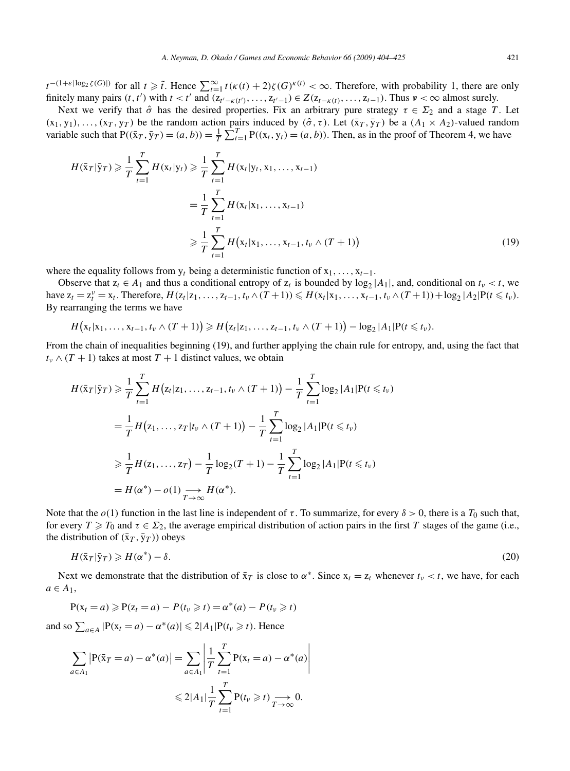$t^{-(1+\varepsilon|\log_2 \zeta(G)|)}$  for all  $t \geq \tilde{t}$ . Hence  $\sum_{t=1}^{\infty} t(\kappa(t)+2)\zeta(G)^{\kappa(t)} < \infty$ . Therefore, with probability 1, there are only finitely many pairs  $(t, t')$  with  $t < t'$  and  $(z_{t'-\kappa(t')}, \ldots, z_{t'-1}) \in Z(z_{t-\kappa(t)}, \ldots, z_{t-1})$ . Thus  $v < \infty$  almost surely.

Next we verify that  $\hat{\sigma}$  has the desired properties. Fix an arbitrary pure strategy  $\tau \in \Sigma_2$  and a stage *T*. Let  $(x_1, y_1), \ldots, (x_T, y_T)$  be the random action pairs induced by  $(\hat{\sigma}, \tau)$ . Let  $(\bar{x}_T, \bar{y}_T)$  be a  $(A_1 \times A_2)$ -valued random variable such that  $P((\bar{x}_T, \bar{y}_T) = (a, b)) = \frac{1}{T} \sum_{t=1}^T P((x_t, y_t) = (a, b))$ . Then, as in the proof of Theorem 4, we have

$$
H(\bar{x}_T|\bar{y}_T) \geq \frac{1}{T} \sum_{t=1}^T H(x_t|y_t) \geq \frac{1}{T} \sum_{t=1}^T H(x_t|y_t, x_1, \dots, x_{t-1})
$$
  
= 
$$
\frac{1}{T} \sum_{t=1}^T H(x_t|x_1, \dots, x_{t-1})
$$
  

$$
\geq \frac{1}{T} \sum_{t=1}^T H(x_t|x_1, \dots, x_{t-1}, t_\nu \wedge (T+1))
$$
(19)

where the equality follows from  $y_t$  being a deterministic function of  $x_1, \ldots, x_{t-1}$ .

Observe that  $z_t \in A_1$  and thus a conditional entropy of  $z_t$  is bounded by  $\log_2 |A_1|$ , and, conditional on  $t_v < t$ , we have  $z_t = z_t^{\nu} = x_t$ . Therefore,  $H(z_t | z_1, ..., z_{t-1}, t_{\nu} \wedge (T+1)) \le H(x_t | x_1, ..., x_{t-1}, t_{\nu} \wedge (T+1)) + \log_2 |A_2| P(t \le t_{\nu})$ . By rearranging the terms we have

$$
H(x_t|x_1,\ldots,x_{t-1},t_\nu\wedge(T+1))\geq H(z_t|z_1,\ldots,z_{t-1},t_\nu\wedge(T+1))-log_2|A_1|P(t\leq t_\nu).
$$

From the chain of inequalities beginning (19), and further applying the chain rule for entropy, and, using the fact that  $t_v \wedge (T + 1)$  takes at most  $T + 1$  distinct values, we obtain

$$
H(\bar{x}_T|\bar{y}_T) \geq \frac{1}{T} \sum_{t=1}^T H(z_t|z_1,\ldots,z_{t-1},t_\nu \wedge (T+1)) - \frac{1}{T} \sum_{t=1}^T \log_2 |A_1| P(t \leq t_\nu)
$$
  
=  $\frac{1}{T} H(z_1,\ldots,z_T|t_\nu \wedge (T+1)) - \frac{1}{T} \sum_{t=1}^T \log_2 |A_1| P(t \leq t_\nu)$   
 $\geq \frac{1}{T} H(z_1,\ldots,z_T) - \frac{1}{T} \log_2 (T+1) - \frac{1}{T} \sum_{t=1}^T \log_2 |A_1| P(t \leq t_\nu)$   
=  $H(\alpha^*) - o(1) \underset{T \to \infty}{\longrightarrow} H(\alpha^*).$ 

Note that the  $o(1)$  function in the last line is independent of  $\tau$ . To summarize, for every  $\delta > 0$ , there is a  $T_0$  such that, for every  $T \ge T_0$  and  $\tau \in \Sigma_2$ , the average empirical distribution of action pairs in the first *T* stages of the game (i.e., the distribution of  $(\bar{x}_T, \bar{y}_T)$  obeys

$$
H(\bar{\mathbf{x}}_T | \bar{\mathbf{y}}_T) \geqslant H(\alpha^*) - \delta. \tag{20}
$$

Next we demonstrate that the distribution of  $\bar{x}_T$  is close to  $\alpha^*$ . Since  $x_t = z_t$  whenever  $t_v < t$ , we have, for each  $a \in A_1$ ,

$$
P(x_t = a) \geqslant P(z_t = a) - P(t_v \geqslant t) = \alpha^*(a) - P(t_v \geqslant t)
$$

and so  $\sum_{a \in A} |P(x_t = a) - \alpha^*(a)| \leq 2|A_1|P(t_\nu \geq t)$ . Hence

$$
\sum_{a \in A_1} \left| P(\bar{x}_T = a) - \alpha^*(a) \right| = \sum_{a \in A_1} \left| \frac{1}{T} \sum_{t=1}^T P(x_t = a) - \alpha^*(a) \right|
$$
  

$$
\leq 2|A_1| \frac{1}{T} \sum_{t=1}^T P(t_v \geq t) \xrightarrow[T \to \infty]{} 0.
$$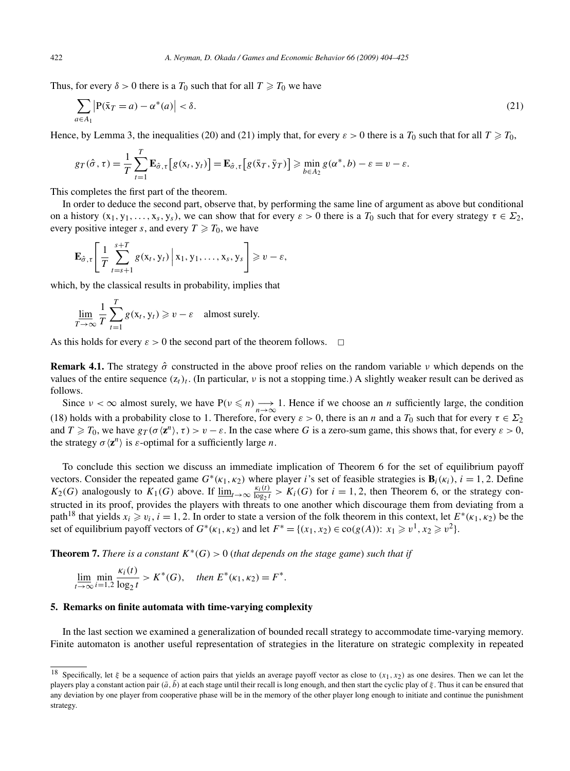Thus, for every  $\delta > 0$  there is a  $T_0$  such that for all  $T \geq T_0$  we have

$$
\sum_{a \in A_1} \left| P(\bar{x}_T = a) - \alpha^*(a) \right| < \delta. \tag{21}
$$

Hence, by Lemma 3, the inequalities (20) and (21) imply that, for every  $\varepsilon > 0$  there is a  $T_0$  such that for all  $T \geq T_0$ ,

$$
g_T(\hat{\sigma}, \tau) = \frac{1}{T} \sum_{t=1}^T \mathbf{E}_{\hat{\sigma}, \tau} \big[ g(x_t, y_t) \big] = \mathbf{E}_{\hat{\sigma}, \tau} \big[ g(\bar{x}_T, \bar{y}_T) \big] \geqslant \min_{b \in A_2} g(\alpha^*, b) - \varepsilon = v - \varepsilon.
$$

This completes the first part of the theorem.

In order to deduce the second part, observe that, by performing the same line of argument as above but conditional on a history  $(x_1, y_1, \ldots, x_s, y_s)$ , we can show that for every  $\varepsilon > 0$  there is a  $T_0$  such that for every strategy  $\tau \in \Sigma_2$ , every positive integer *s*, and every  $T \ge T_0$ , we have

$$
\mathbf{E}_{\hat{\sigma},\tau}\left[\frac{1}{T}\sum_{t=s+1}^{s+T}g(x_t,y_t)\middle|\,x_1,y_1,\ldots,x_s,y_s\right]\geq v-\varepsilon,
$$

which, by the classical results in probability, implies that

$$
\lim_{T \to \infty} \frac{1}{T} \sum_{t=1}^{T} g(x_t, y_t) \geq v - \varepsilon \quad \text{almost surely.}
$$

As this holds for every  $\varepsilon > 0$  the second part of the theorem follows.  $\Box$ 

**Remark 4.1.** The strategy *σ*ˆ constructed in the above proof relies on the random variable *ν* which depends on the values of the entire sequence  $(z_t)_t$ . (In particular, *v* is not a stopping time.) A slightly weaker result can be derived as follows.

Since  $\nu < \infty$  almost surely, we have  $P(\nu \leq n) \rightarrow \infty$  1. Hence if we choose an *n* sufficiently large, the condition (18) holds with a probability close to 1. Therefore, for every  $\varepsilon > 0$ , there is an *n* and a  $T_0$  such that for every  $\tau \in \Sigma_2$ and  $T \geq T_0$ , we have  $g_T(\sigma \langle \mathbf{z}^n \rangle, \tau) > v - \varepsilon$ . In the case where *G* is a zero-sum game, this shows that, for every  $\varepsilon > 0$ , the strategy  $\sigma \langle \mathbf{z}^n \rangle$  is  $\varepsilon$ -optimal for a sufficiently large *n*.

To conclude this section we discuss an immediate implication of Theorem 6 for the set of equilibrium payoff vectors. Consider the repeated game  $G^*(\kappa_1, \kappa_2)$  where player *i*'s set of feasible strategies is  $\mathbf{B}_i(\kappa_i)$ ,  $i = 1, 2$ . Define *K*<sub>2</sub>(*G*) analogously to *K*<sub>1</sub>(*G*) above. If  $\underline{\lim}_{t\to\infty} \frac{\kappa_i(t)}{\log_2 t} > K_i(G)$  for  $i = 1, 2$ , then Theorem 6, or the strategy constructed in its proof, provides the players with threats to one another which discourage them from deviating from a path<sup>18</sup> that yields  $x_i \ge v_i$ ,  $i = 1, 2$ . In order to state a version of the folk theorem in this context, let  $E^*(\kappa_1, \kappa_2)$  be the set of equilibrium payoff vectors of  $G^*(\kappa_1, \kappa_2)$  and let  $F^* = \{(x_1, x_2) \in \text{co}(g(A)) : x_1 \geq v^1, x_2 \geq v^2\}.$ 

**Theorem 7.** *There is a constant*  $K^*(G) > 0$  (*that depends on the stage game*) *such that if* 

$$
\lim_{t \to \infty} \min_{i=1,2} \frac{\kappa_i(t)}{\log_2 t} > K^*(G), \quad \text{then } E^*(\kappa_1, \kappa_2) = F^*.
$$

### **5. Remarks on finite automata with time-varying complexity**

In the last section we examined a generalization of bounded recall strategy to accommodate time-varying memory. Finite automaton is another useful representation of strategies in the literature on strategic complexity in repeated

<sup>18</sup> Specifically, let *ξ* be a sequence of action pairs that yields an average payoff vector as close to *(x*1*,x*2*)* as one desires. Then we can let the players play a constant action pair  $(\bar{a}, \bar{b})$  at each stage until their recall is long enough, and then start the cyclic play of  $\xi$ . Thus it can be ensured that any deviation by one player from cooperative phase will be in the memory of the other player long enough to initiate and continue the punishment strategy.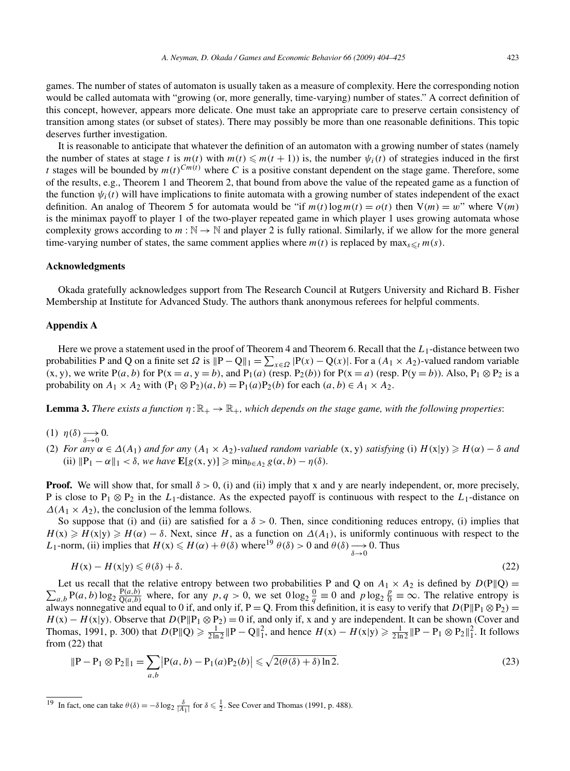games. The number of states of automaton is usually taken as a measure of complexity. Here the corresponding notion would be called automata with "growing (or, more generally, time-varying) number of states." A correct definition of this concept, however, appears more delicate. One must take an appropriate care to preserve certain consistency of transition among states (or subset of states). There may possibly be more than one reasonable definitions. This topic deserves further investigation.

It is reasonable to anticipate that whatever the definition of an automaton with a growing number of states (namely the number of states at stage *t* is  $m(t)$  with  $m(t) \leq m(t+1)$  is, the number  $\psi_i(t)$  of strategies induced in the first *t* stages will be bounded by  $m(t)^{Cm(t)}$  where *C* is a positive constant dependent on the stage game. Therefore, some of the results, e.g., Theorem 1 and Theorem 2, that bound from above the value of the repeated game as a function of the function  $\psi_i(t)$  will have implications to finite automata with a growing number of states independent of the exact definition. An analog of Theorem 5 for automata would be "if  $m(t) \log m(t) = o(t)$  then  $V(m) = w$ " where  $V(m)$ is the minimax payoff to player 1 of the two-player repeated game in which player 1 uses growing automata whose complexity grows according to  $m : \mathbb{N} \to \mathbb{N}$  and player 2 is fully rational. Similarly, if we allow for the more general time-varying number of states, the same comment applies where  $m(t)$  is replaced by  $\max_{s \le t} m(s)$ .

#### **Acknowledgments**

Okada gratefully acknowledges support from The Research Council at Rutgers University and Richard B. Fisher Membership at Institute for Advanced Study. The authors thank anonymous referees for helpful comments.

## **Appendix A**

Here we prove a statement used in the proof of Theorem 4 and Theorem 6. Recall that the L<sub>1</sub>-distance between two probabilities P and Q on a finite set  $\Omega$  is  $||P - Q||_1 = \sum_{x \in \Omega} |P(x) - Q(x)|$ . For a  $(A_1 \times A_2)$ -valued random variable  $(x, y)$ , we write P(*a*, *b*) for P( $x = a$ ,  $y = b$ ), and P<sub>1</sub>(*a*) (resp. P<sub>2</sub>(*b*)) for P( $x = a$ ) (resp. P( $y = b$ )). Also, P<sub>1</sub> ⊗ P<sub>2</sub> is a probability on  $A_1 \times A_2$  with  $(P_1 \otimes P_2)(a, b) = P_1(a)P_2(b)$  for each  $(a, b) \in A_1 \times A_2$ .

**Lemma 3.** There exists a function  $\eta : \mathbb{R}_+ \to \mathbb{R}_+$ , which depends on the stage game, with the following properties:

- (1)  $\eta(\delta) \longrightarrow 0.$ <br> $\delta \rightarrow 0$
- (2) For any  $\alpha \in \Delta(A_1)$  and for any  $(A_1 \times A_2)$ -valued random variable  $(x, y)$  satisfying (i)  $H(x|y) \ge H(\alpha) \delta$  and (ii)  $\|P_1 - \alpha\|_1 < \delta$ , we have  $\mathbf{E}[g(x, y)] \ge \min_{b \in A_2} g(\alpha, b) - \eta(\delta)$ .

**Proof.** We will show that, for small  $\delta > 0$ , (i) and (ii) imply that x and y are nearly independent, or, more precisely, P is close to P<sub>1</sub> ⊗ P<sub>2</sub> in the *L*<sub>1</sub>-distance. As the expected payoff is continuous with respect to the *L*<sub>1</sub>-distance on  $\Delta(A_1 \times A_2)$ , the conclusion of the lemma follows.

So suppose that (i) and (ii) are satisfied for a *δ >* 0. Then, since conditioning reduces entropy, (i) implies that  $H(x) \ge H(x|y) \ge H(\alpha) - \delta$ . Next, since *H*, as a function on  $\Delta(A_1)$ , is uniformly continuous with respect to the *L*<sub>1</sub>-norm, (ii) implies that  $H(x) \le H(\alpha) + \theta(\delta)$  where<sup>19</sup>  $\theta(\delta) > 0$  and  $\theta(\delta) \rightarrow 0$ . Thus

$$
H(x) - H(x|y) \leq \theta(\delta) + \delta. \tag{22}
$$

 $\sum$ Let us recall that the relative entropy between two probabilities P and Q on  $A_1 \times A_2$  is defined by  $D(P||Q) =$  $P(a, b) \log_2 \frac{P(a, b)}{Q(a, b)}$  where, for any  $p, q > 0$ , we set  $0 \log_2 \frac{0}{q} \equiv 0$  and  $p \log_2 \frac{p}{0} \equiv \infty$ . The relative entropy is always nonnegative and equal to 0 if, and only if, P = Q. From this definition, it is easy to verify that  $D(P||P_1 \otimes P_2)$  =  $H(x) - H(x|y)$ . Observe that  $D(P||P_1 \otimes P_2) = 0$  if, and only if, x and y are independent. It can be shown (Cover and Thomas, 1991, p. 300) that  $D(P||Q) \ge \frac{1}{2\ln 2} ||P - Q||_1^2$ , and hence  $H(x) - H(x|y) \ge \frac{1}{2\ln 2} ||P - P_1 \otimes P_2||_1^2$ . It follows from (22) that

$$
\|P - P_1 \otimes P_2\|_1 = \sum_{a,b} |P(a,b) - P_1(a)P_2(b)| \le \sqrt{2(\theta(\delta) + \delta) \ln 2}.
$$
 (23)

<sup>&</sup>lt;sup>19</sup> In fact, one can take  $\theta(\delta) = -\delta \log_2 \frac{\delta}{|A_1|}$  for  $\delta \le \frac{1}{2}$ . See Cover and Thomas (1991, p. 488).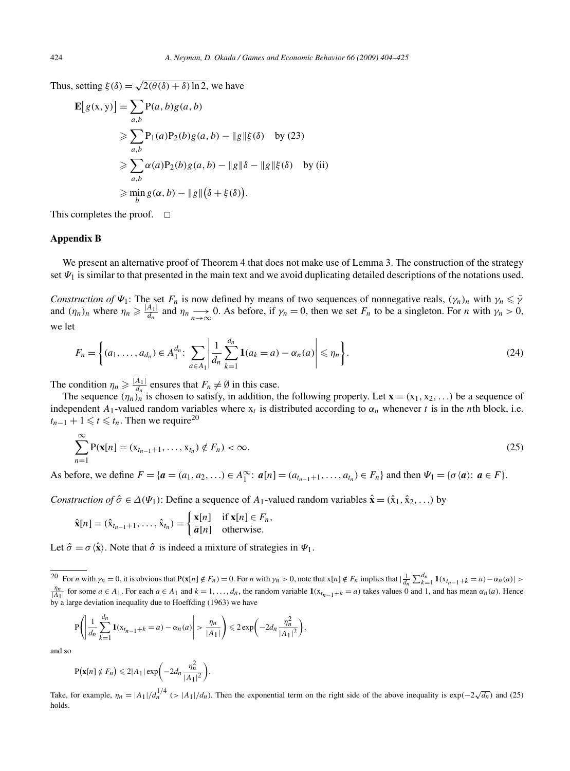Thus, setting  $\xi(\delta) = \sqrt{2(\theta(\delta) + \delta) \ln 2}$ , we have

$$
\mathbf{E}[g(\mathbf{x}, \mathbf{y})] = \sum_{a,b} \mathbf{P}(a, b) g(a, b)
$$
  
\n
$$
\geq \sum_{a,b} \mathbf{P}_1(a) \mathbf{P}_2(b) g(a, b) - ||g|| \xi(\delta) \text{ by (23)}
$$
  
\n
$$
\geq \sum_{a,b} \alpha(a) \mathbf{P}_2(b) g(a, b) - ||g|| \delta - ||g|| \xi(\delta) \text{ by (ii)}
$$
  
\n
$$
\geq \min_b g(\alpha, b) - ||g|| (\delta + \xi(\delta)).
$$

This completes the proof.  $\Box$ 

### **Appendix B**

We present an alternative proof of Theorem 4 that does not make use of Lemma 3. The construction of the strategy set  $\Psi_1$  is similar to that presented in the main text and we avoid duplicating detailed descriptions of the notations used.

*Construction of*  $\Psi_1$ : The set  $F_n$  is now defined by means of two sequences of nonnegative reals,  $(\gamma_n)_n$  with  $\gamma_n \leq \overline{\gamma}$ and  $(\eta_n)_n$  where  $\eta_n \ge \frac{|A_1|}{d_n}$  and  $\eta_n \to \infty$  0. As before, if  $\gamma_n = 0$ , then we set  $F_n$  to be a singleton. For *n* with  $\gamma_n > 0$ , we let

$$
F_n = \left\{ (a_1, \dots, a_{d_n}) \in A_1^{d_n}: \sum_{a \in A_1} \left| \frac{1}{d_n} \sum_{k=1}^{d_n} \mathbf{1}(a_k = a) - \alpha_n(a) \right| \leq \eta_n \right\}.
$$
 (24)

The condition  $\eta_n \geq \frac{|A_1|}{d_n}$  ensures that  $F_n \neq \emptyset$  in this case.

The sequence  $(\eta_n)_n$  is chosen to satisfy, in addition, the following property. Let  $\mathbf{x} = (x_1, x_2, \ldots)$  be a sequence of independent  $A_1$ -valued random variables where  $x_t$  is distributed according to  $\alpha_n$  whenever *t* is in the *n*th block, i.e.  $t_{n-1}$  + 1 ≤  $t \le t_n$ . Then we require<sup>20</sup>

$$
\sum_{n=1}^{\infty} P(\mathbf{x}[n] = (x_{t_{n-1}+1}, \dots, x_{t_n}) \notin F_n) < \infty. \tag{25}
$$

As before, we define  $F = \{a = (a_1, a_2, ...) \in A_1^{\infty} : a[n] = (a_{t_{n-1}+1},..., a_{t_n}) \in F_n\}$  and then  $\Psi_1 = \{\sigma \langle a \rangle : a \in F\}$ .

*Construction of*  $\hat{\sigma} \in \Delta(\Psi_1)$ : Define a sequence of  $A_1$ -valued random variables  $\hat{\mathbf{x}} = (\hat{x}_1, \hat{x}_2, \ldots)$  by

$$
\hat{\mathbf{x}}[n] = (\hat{\mathbf{x}}_{t_{n-1}+1}, \dots, \hat{\mathbf{x}}_{t_n}) = \begin{cases} \mathbf{x}[n] & \text{if } \mathbf{x}[n] \in F_n, \\ \bar{a}[n] & \text{otherwise.} \end{cases}
$$

Let  $\hat{\sigma} = \sigma \langle \hat{\mathbf{x}} \rangle$ . Note that  $\hat{\sigma}$  is indeed a mixture of strategies in  $\Psi_1$ .

$$
P\left(\left|\frac{1}{d_n}\sum_{k=1}^{d_n}1(x_{t_{n-1}+k}=a)-\alpha_n(a)\right|>\frac{\eta_n}{|A_1|}\right)\leqslant 2\exp\bigg(-2d_n\frac{\eta_n^2}{|A_1|^2}\bigg),
$$

and so

$$
P(\mathbf{x}[n] \notin F_n) \leq 2|A_1|\exp\bigg(-2d_n\frac{\eta_n^2}{|A_1|^2}\bigg).
$$

Take, for example,  $\eta_n = |A_1|/d_n^{1/4}$  (>  $|A_1|/d_n$ ). Then the exponential term on the right side of the above inequality is exp( $-2\sqrt{d_n}$ ) and (25) holds.

<sup>&</sup>lt;sup>20</sup> For *n* with  $\gamma_n = 0$ , it is obvious that  $P(x[n] \notin F_n) = 0$ . For *n* with  $\gamma_n > 0$ , note that  $x[n] \notin F_n$  implies that  $|\frac{1}{d_n} \sum_{k=1}^{d_n} 1(x_{t_{n-1}+k} = a) - \alpha_n(a)| >$  $\frac{\eta_n}{|A_1|}$  for some  $a \in A_1$ . For each  $a \in A_1$  and  $k = 1, ..., d_n$ , the random variable  $\mathbf{1}(x_{t_{n-1}+k} = a)$  takes values 0 and 1, and has mean  $\alpha_n(a)$ . Hence by a large deviation inequality due to Hoeffding (1963) we have